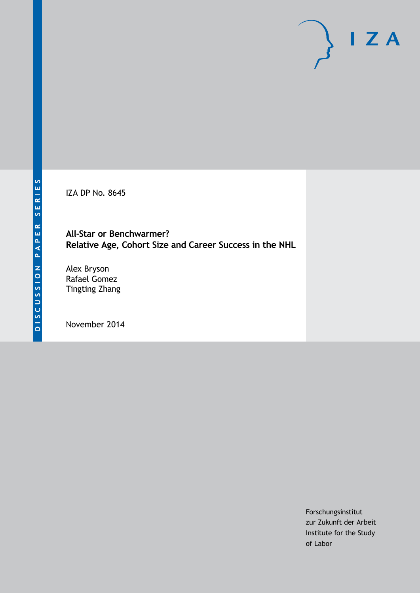IZA DP No. 8645

### **All-Star or Benchwarmer? Relative Age, Cohort Size and Career Success in the NHL**

Alex Bryson Rafael Gomez Tingting Zhang

November 2014

Forschungsinstitut zur Zukunft der Arbeit Institute for the Study of Labor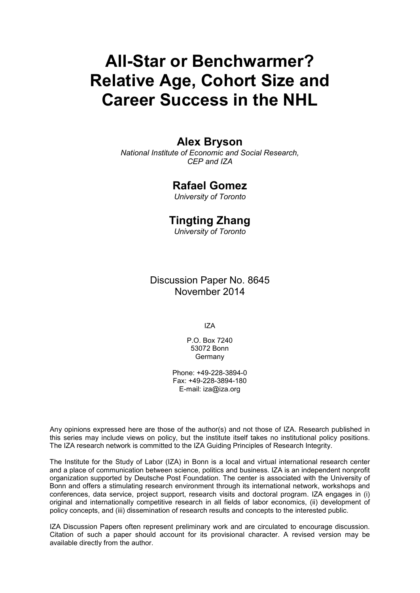# **All-Star or Benchwarmer? Relative Age, Cohort Size and Career Success in the NHL**

# **Alex Bryson**

*National Institute of Economic and Social Research, CEP and IZA*

### **Rafael Gomez**

*University of Toronto*

### **Tingting Zhang**

*University of Toronto*

Discussion Paper No. 8645 November 2014

IZA

P.O. Box 7240 53072 Bonn Germany

Phone: +49-228-3894-0 Fax: +49-228-3894-180 E-mail: [iza@iza.org](mailto:iza@iza.org)

Any opinions expressed here are those of the author(s) and not those of IZA. Research published in this series may include views on policy, but the institute itself takes no institutional policy positions. The IZA research network is committed to the IZA Guiding Principles of Research Integrity.

The Institute for the Study of Labor (IZA) in Bonn is a local and virtual international research center and a place of communication between science, politics and business. IZA is an independent nonprofit organization supported by Deutsche Post Foundation. The center is associated with the University of Bonn and offers a stimulating research environment through its international network, workshops and conferences, data service, project support, research visits and doctoral program. IZA engages in (i) original and internationally competitive research in all fields of labor economics, (ii) development of policy concepts, and (iii) dissemination of research results and concepts to the interested public.

<span id="page-1-0"></span>IZA Discussion Papers often represent preliminary work and are circulated to encourage discussion. Citation of such a paper should account for its provisional character. A revised version may be available directly from the author.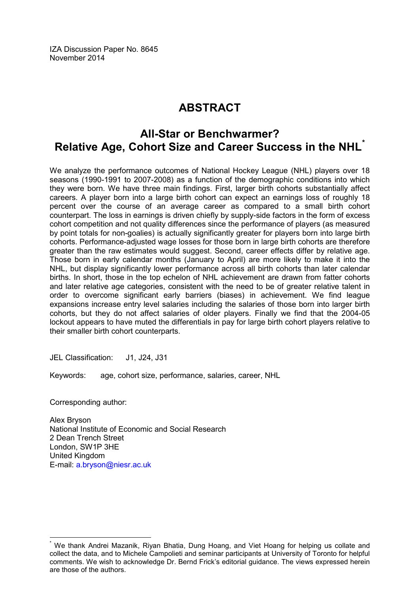IZA Discussion Paper No. 8645 November 2014

# **ABSTRACT**

## **All-Star or Benchwarmer? Relative Age, Cohort Size and Career Success in the NHL[\\*](#page-1-0)**

We analyze the performance outcomes of National Hockey League (NHL) players over 18 seasons (1990-1991 to 2007-2008) as a function of the demographic conditions into which they were born. We have three main findings. First, larger birth cohorts substantially affect careers. A player born into a large birth cohort can expect an earnings loss of roughly 18 percent over the course of an average career as compared to a small birth cohort counterpart. The loss in earnings is driven chiefly by supply-side factors in the form of excess cohort competition and not quality differences since the performance of players (as measured by point totals for non-goalies) is actually significantly greater for players born into large birth cohorts. Performance-adjusted wage losses for those born in large birth cohorts are therefore greater than the raw estimates would suggest. Second, career effects differ by relative age. Those born in early calendar months (January to April) are more likely to make it into the NHL, but display significantly lower performance across all birth cohorts than later calendar births. In short, those in the top echelon of NHL achievement are drawn from fatter cohorts and later relative age categories, consistent with the need to be of greater relative talent in order to overcome significant early barriers (biases) in achievement. We find league expansions increase entry level salaries including the salaries of those born into larger birth cohorts, but they do not affect salaries of older players. Finally we find that the 2004-05 lockout appears to have muted the differentials in pay for large birth cohort players relative to their smaller birth cohort counterparts.

JEL Classification: J1, J24, J31

Keywords: age, cohort size, performance, salaries, career, NHL

Corresponding author:

Alex Bryson National Institute of Economic and Social Research 2 Dean Trench Street London, SW1P 3HE United Kingdom E-mail: [a.bryson@niesr.ac.uk](mailto:a.bryson@niesr.ac.uk)

We thank Andrei Mazanik, Riyan Bhatia, Dung Hoang, and Viet Hoang for helping us collate and collect the data, and to Michele Campolieti and seminar participants at University of Toronto for helpful comments. We wish to acknowledge Dr. Bernd Frick's editorial guidance. The views expressed herein are those of the authors.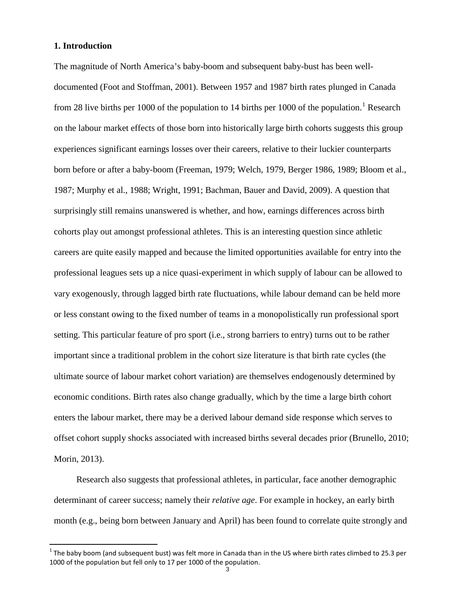#### **1. Introduction**

The magnitude of North America's baby-boom and subsequent baby-bust has been welldocumented (Foot and Stoffman, 2001). Between 1957 and 1987 birth rates plunged in Canada from 28 live births per 1000 of the population to 14 births per 1000 of the population.<sup>1</sup> Research on the labour market effects of those born into historically large birth cohorts suggests this group experiences significant earnings losses over their careers, relative to their luckier counterparts born before or after a baby-boom (Freeman, 1979; Welch, 1979, Berger 1986, 1989; Bloom et al., 1987; Murphy et al., 1988; Wright, 1991; Bachman, Bauer and David, 2009). A question that surprisingly still remains unanswered is whether, and how, earnings differences across birth cohorts play out amongst professional athletes. This is an interesting question since athletic careers are quite easily mapped and because the limited opportunities available for entry into the professional leagues sets up a nice quasi-experiment in which supply of labour can be allowed to vary exogenously, through lagged birth rate fluctuations, while labour demand can be held more or less constant owing to the fixed number of teams in a monopolistically run professional sport setting. This particular feature of pro sport (i.e., strong barriers to entry) turns out to be rather important since a traditional problem in the cohort size literature is that birth rate cycles (the ultimate source of labour market cohort variation) are themselves endogenously determined by economic conditions. Birth rates also change gradually, which by the time a large birth cohort enters the labour market, there may be a derived labour demand side response which serves to offset cohort supply shocks associated with increased births several decades prior (Brunello, 2010; Morin, 2013).

<span id="page-3-0"></span>Research also suggests that professional athletes, in particular, face another demographic determinant of career success; namely their *relative age*. For example in hockey, an early birth month (e.g., being born between January and April) has been found to correlate quite strongly and

 $1$  The baby boom (and subsequent bust) was felt more in Canada than in the US where birth rates climbed to 25.3 per 1000 of the population but fell only to 17 per 1000 of the population.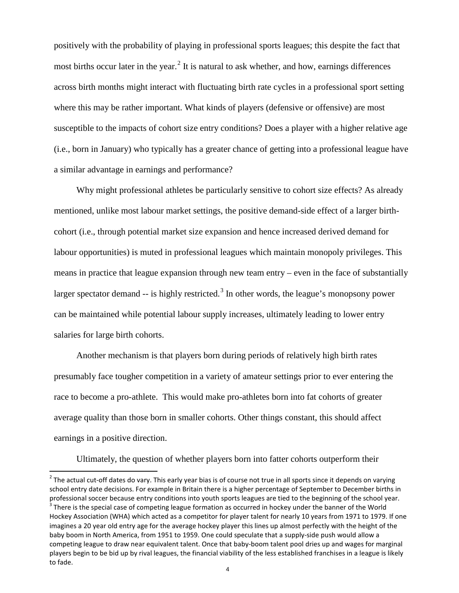positively with the probability of playing in professional sports leagues; this despite the fact that most births occur later in the year.<sup>[2](#page-3-0)</sup> It is natural to ask whether, and how, earnings differences across birth months might interact with fluctuating birth rate cycles in a professional sport setting where this may be rather important. What kinds of players (defensive or offensive) are most susceptible to the impacts of cohort size entry conditions? Does a player with a higher relative age (i.e., born in January) who typically has a greater chance of getting into a professional league have a similar advantage in earnings and performance?

Why might professional athletes be particularly sensitive to cohort size effects? As already mentioned, unlike most labour market settings, the positive demand-side effect of a larger birthcohort (i.e., through potential market size expansion and hence increased derived demand for labour opportunities) is muted in professional leagues which maintain monopoly privileges. This means in practice that league expansion through new team entry – even in the face of substantially larger spectator demand  $-$  is highly restricted.<sup>[3](#page-4-0)</sup> In other words, the league's monopsony power can be maintained while potential labour supply increases, ultimately leading to lower entry salaries for large birth cohorts.

Another mechanism is that players born during periods of relatively high birth rates presumably face tougher competition in a variety of amateur settings prior to ever entering the race to become a pro-athlete. This would make pro-athletes born into fat cohorts of greater average quality than those born in smaller cohorts. Other things constant, this should affect earnings in a positive direction.

Ultimately, the question of whether players born into fatter cohorts outperform their

 $2$  The actual cut-off dates do vary. This early year bias is of course not true in all sports since it depends on varying school entry date decisions. For example in Britain there is a higher percentage of September to December births in professional soccer because entry conditions into youth sports leagues are tied to the beginning of the school year.<br><sup>3</sup> There is the special case of competing league formation as occurred in hockey under the banner of the

<span id="page-4-1"></span><span id="page-4-0"></span>Hockey Association (WHA) which acted as a competitor for player talent for nearly 10 years from 1971 to 1979. If one imagines a 20 year old entry age for the average hockey player this lines up almost perfectly with the height of the baby boom in North America, from 1951 to 1959. One could speculate that a supply-side push would allow a competing league to draw near equivalent talent. Once that baby-boom talent pool dries up and wages for marginal players begin to be bid up by rival leagues, the financial viability of the less established franchises in a league is likely to fade.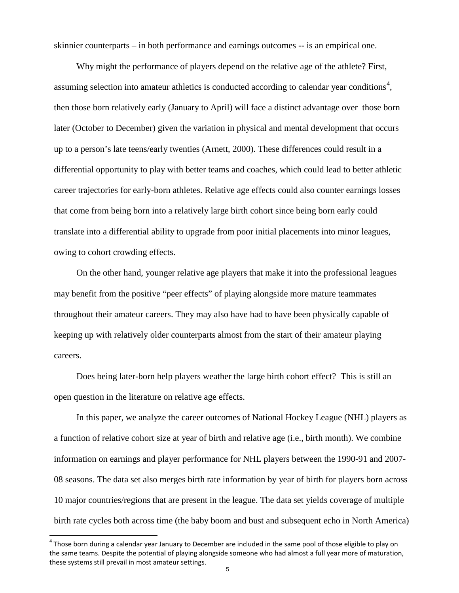skinnier counterparts – in both performance and earnings outcomes -- is an empirical one.

Why might the performance of players depend on the relative age of the athlete? First, assuming selection into amateur athletics is conducted according to calendar year conditions<sup>[4](#page-4-1)</sup>, then those born relatively early (January to April) will face a distinct advantage over those born later (October to December) given the variation in physical and mental development that occurs up to a person's late teens/early twenties (Arnett, 2000). These differences could result in a differential opportunity to play with better teams and coaches, which could lead to better athletic career trajectories for early-born athletes. Relative age effects could also counter earnings losses that come from being born into a relatively large birth cohort since being born early could translate into a differential ability to upgrade from poor initial placements into minor leagues, owing to cohort crowding effects.

On the other hand, younger relative age players that make it into the professional leagues may benefit from the positive "peer effects" of playing alongside more mature teammates throughout their amateur careers. They may also have had to have been physically capable of keeping up with relatively older counterparts almost from the start of their amateur playing careers.

Does being later-born help players weather the large birth cohort effect? This is still an open question in the literature on relative age effects.

In this paper, we analyze the career outcomes of National Hockey League (NHL) players as a function of relative cohort size at year of birth and relative age (i.e., birth month). We combine information on earnings and player performance for NHL players between the 1990-91 and 2007- 08 seasons. The data set also merges birth rate information by year of birth for players born across 10 major countries/regions that are present in the league. The data set yields coverage of multiple birth rate cycles both across time (the baby boom and bust and subsequent echo in North America)

<span id="page-5-0"></span> $<sup>4</sup>$  Those born during a calendar year January to December are included in the same pool of those eligible to play on</sup> the same teams. Despite the potential of playing alongside someone who had almost a full year more of maturation, these systems still prevail in most amateur settings.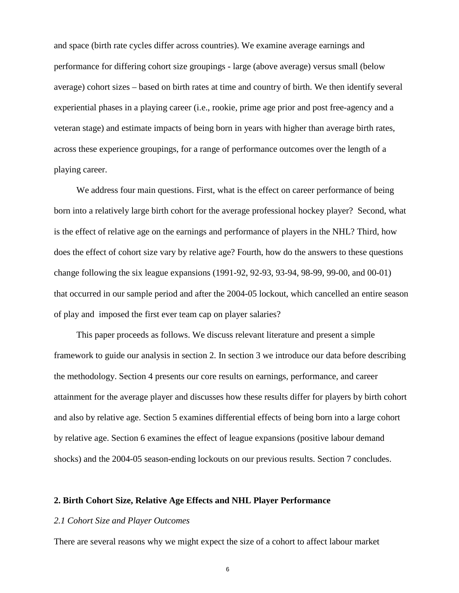and space (birth rate cycles differ across countries). We examine average earnings and performance for differing cohort size groupings - large (above average) versus small (below average) cohort sizes – based on birth rates at time and country of birth. We then identify several experiential phases in a playing career (i.e., rookie, prime age prior and post free-agency and a veteran stage) and estimate impacts of being born in years with higher than average birth rates, across these experience groupings, for a range of performance outcomes over the length of a playing career.

We address four main questions. First, what is the effect on career performance of being born into a relatively large birth cohort for the average professional hockey player? Second, what is the effect of relative age on the earnings and performance of players in the NHL? Third, how does the effect of cohort size vary by relative age? Fourth, how do the answers to these questions change following the six league expansions (1991-92, 92-93, 93-94, 98-99, 99-00, and 00-01) that occurred in our sample period and after the 2004-05 lockout, which cancelled an entire season of play and imposed the first ever team cap on player salaries?

This paper proceeds as follows. We discuss relevant literature and present a simple framework to guide our analysis in section 2. In section 3 we introduce our data before describing the methodology. Section 4 presents our core results on earnings, performance, and career attainment for the average player and discusses how these results differ for players by birth cohort and also by relative age. Section 5 examines differential effects of being born into a large cohort by relative age. Section 6 examines the effect of league expansions (positive labour demand shocks) and the 2004-05 season-ending lockouts on our previous results. Section 7 concludes.

#### **2. Birth Cohort Size, Relative Age Effects and NHL Player Performance**

#### *2.1 Cohort Size and Player Outcomes*

There are several reasons why we might expect the size of a cohort to affect labour market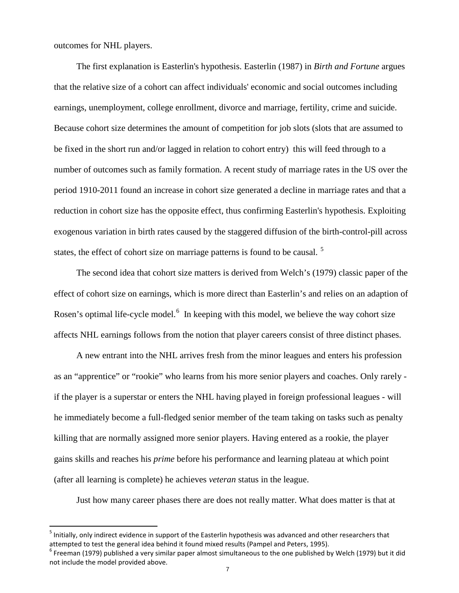outcomes for NHL players.

The first explanation is Easterlin's hypothesis. Easterlin (1987) in *Birth and Fortune* argues that the relative size of a cohort can affect individuals' economic and social outcomes including earnings, unemployment, college enrollment, divorce and marriage, fertility, crime and suicide. Because cohort size determines the amount of competition for job slots (slots that are assumed to be fixed in the short run and/or lagged in relation to cohort entry) this will feed through to a number of outcomes such as family formation. A recent study of marriage rates in the US over the period 1910-2011 found an increase in cohort size generated a decline in marriage rates and that a reduction in cohort size has the opposite effect, thus confirming Easterlin's hypothesis. Exploiting exogenous variation in birth rates caused by the staggered diffusion of the birth-control-pill across states, the effect of cohort size on marriage patterns is found to be causal.  $5$ 

The second idea that cohort size matters is derived from Welch's (1979) classic paper of the effect of cohort size on earnings, which is more direct than Easterlin's and relies on an adaption of Rosen's optimal life-cycle model.<sup>[6](#page-7-0)</sup> In keeping with this model, we believe the way cohort size affects NHL earnings follows from the notion that player careers consist of three distinct phases.

A new entrant into the NHL arrives fresh from the minor leagues and enters his profession as an "apprentice" or "rookie" who learns from his more senior players and coaches. Only rarely if the player is a superstar or enters the NHL having played in foreign professional leagues - will he immediately become a full-fledged senior member of the team taking on tasks such as penalty killing that are normally assigned more senior players. Having entered as a rookie, the player gains skills and reaches his *prime* before his performance and learning plateau at which point (after all learning is complete) he achieves *veteran* status in the league.

Just how many career phases there are does not really matter. What does matter is that at

<span id="page-7-1"></span> $<sup>5</sup>$  Initially, only indirect evidence in support of the Easterlin hypothesis was advanced and other researchers that attempted to test the general idea behind it found mixed results (Pampel and Peters, 1995).</sup>

<span id="page-7-0"></span> $^6$  Freeman (1979) published a very similar paper almost simultaneous to the one published by Welch (1979) but it did not include the model provided above.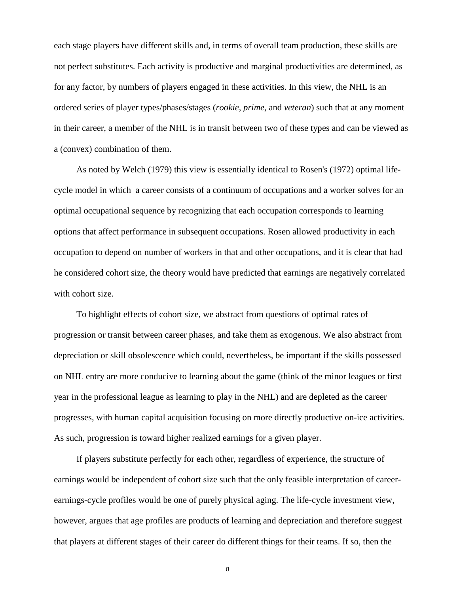each stage players have different skills and, in terms of overall team production, these skills are not perfect substitutes. Each activity is productive and marginal productivities are determined, as for any factor, by numbers of players engaged in these activities. In this view, the NHL is an ordered series of player types/phases/stages (*rookie*, *prime*, and *veteran*) such that at any moment in their career, a member of the NHL is in transit between two of these types and can be viewed as a (convex) combination of them.

As noted by Welch (1979) this view is essentially identical to Rosen's (1972) optimal lifecycle model in which a career consists of a continuum of occupations and a worker solves for an optimal occupational sequence by recognizing that each occupation corresponds to learning options that affect performance in subsequent occupations. Rosen allowed productivity in each occupation to depend on number of workers in that and other occupations, and it is clear that had he considered cohort size, the theory would have predicted that earnings are negatively correlated with cohort size.

To highlight effects of cohort size, we abstract from questions of optimal rates of progression or transit between career phases, and take them as exogenous. We also abstract from depreciation or skill obsolescence which could, nevertheless, be important if the skills possessed on NHL entry are more conducive to learning about the game (think of the minor leagues or first year in the professional league as learning to play in the NHL) and are depleted as the career progresses, with human capital acquisition focusing on more directly productive on-ice activities. As such, progression is toward higher realized earnings for a given player.

If players substitute perfectly for each other, regardless of experience, the structure of earnings would be independent of cohort size such that the only feasible interpretation of careerearnings-cycle profiles would be one of purely physical aging. The life-cycle investment view, however, argues that age profiles are products of learning and depreciation and therefore suggest that players at different stages of their career do different things for their teams. If so, then the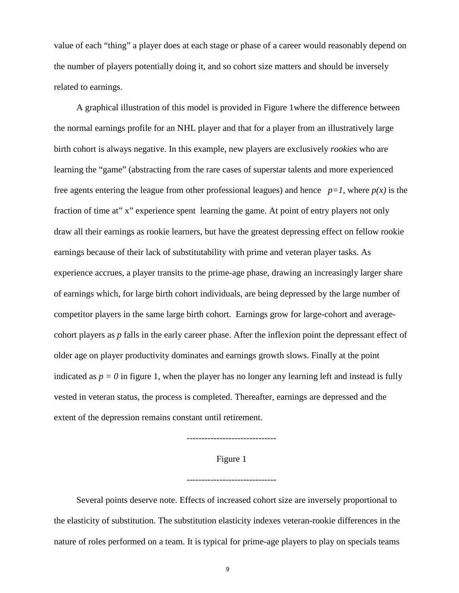value of each "thing" a player does at each stage or phase of a career would reasonably depend on the number of players potentially doing it, and so cohort size matters and should be inversely related to earnings.

A graphical illustration of this model is provided in Figure 1where the difference between the normal earnings profile for an NHL player and that for a player from an illustratively large birth cohort is always negative. In this example, new players are exclusively *rookies* who are learning the "game" (abstracting from the rare cases of superstar talents and more experienced free agents entering the league from other professional leagues) and hence  $p=1$ , where  $p(x)$  is the fraction of time at" x" experience spent learning the game. At point of entry players not only draw all their earnings as rookie learners, but have the greatest depressing effect on fellow rookie earnings because of their lack of substitutability with prime and veteran player tasks. As experience accrues, a player transits to the prime-age phase, drawing an increasingly larger share of earnings which, for large birth cohort individuals, are being depressed by the large number of competitor players in the same large birth cohort. Earnings grow for large-cohort and averagecohort players as *p* falls in the early career phase. After the inflexion point the depressant effect of older age on player productivity dominates and earnings growth slows. Finally at the point indicated as  $p = 0$  in figure 1, when the player has no longer any learning left and instead is fully vested in veteran status, the process is completed. Thereafter, earnings are depressed and the extent of the depression remains constant until retirement.

------------------------------

#### Figure 1

------------------------------

Several points deserve note. Effects of increased cohort size are inversely proportional to the elasticity of substitution. The substitution elasticity indexes veteran-rookie differences in the nature of roles performed on a team. It is typical for prime-age players to play on specials teams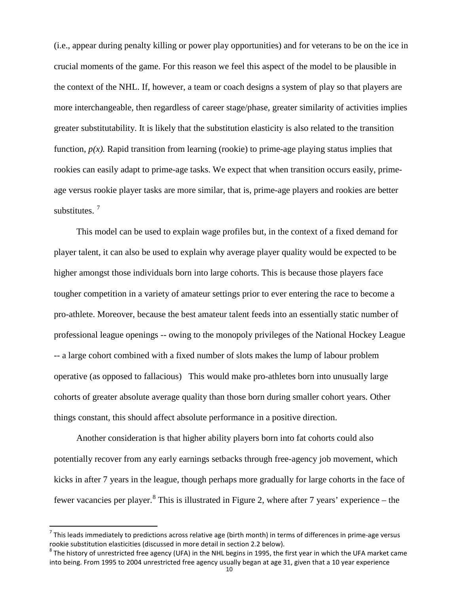(i.e., appear during penalty killing or power play opportunities) and for veterans to be on the ice in crucial moments of the game. For this reason we feel this aspect of the model to be plausible in the context of the NHL. If, however, a team or coach designs a system of play so that players are more interchangeable, then regardless of career stage/phase, greater similarity of activities implies greater substitutability. It is likely that the substitution elasticity is also related to the transition function,  $p(x)$ . Rapid transition from learning (rookie) to prime-age playing status implies that rookies can easily adapt to prime-age tasks. We expect that when transition occurs easily, primeage versus rookie player tasks are more similar, that is, prime-age players and rookies are better substitutes.<sup>[7](#page-7-1)</sup>

This model can be used to explain wage profiles but, in the context of a fixed demand for player talent, it can also be used to explain why average player quality would be expected to be higher amongst those individuals born into large cohorts. This is because those players face tougher competition in a variety of amateur settings prior to ever entering the race to become a pro-athlete. Moreover, because the best amateur talent feeds into an essentially static number of professional league openings -- owing to the monopoly privileges of the National Hockey League -- a large cohort combined with a fixed number of slots makes the lump of labour problem operative (as opposed to fallacious) This would make pro-athletes born into unusually large cohorts of greater absolute average quality than those born during smaller cohort years. Other things constant, this should affect absolute performance in a positive direction.

Another consideration is that higher ability players born into fat cohorts could also potentially recover from any early earnings setbacks through free-agency job movement, which kicks in after 7 years in the league, though perhaps more gradually for large cohorts in the face of fewer vacancies per player.<sup>[8](#page-10-0)</sup> This is illustrated in Figure 2, where after 7 years' experience – the

 $^7$  This leads immediately to predictions across relative age (birth month) in terms of differences in prime-age versus rookie substitution elasticities (discussed in more detail in section 2.2 below).

<span id="page-10-1"></span><span id="page-10-0"></span> $^8$  The history of unrestricted free agency (UFA) in the NHL begins in 1995, the first year in which the UFA market came into being. From 1995 to 2004 unrestricted free agency usually began at age 31, given that a 10 year experience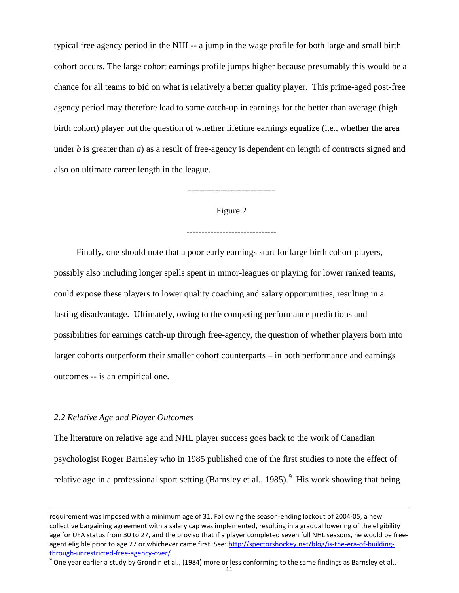typical free agency period in the NHL-- a jump in the wage profile for both large and small birth cohort occurs. The large cohort earnings profile jumps higher because presumably this would be a chance for all teams to bid on what is relatively a better quality player. This prime-aged post-free agency period may therefore lead to some catch-up in earnings for the better than average (high birth cohort) player but the question of whether lifetime earnings equalize (i.e., whether the area under *b* is greater than *a*) as a result of free-agency is dependent on length of contracts signed and also on ultimate career length in the league.

-----------------------------

Figure 2

------------------------------

Finally, one should note that a poor early earnings start for large birth cohort players, possibly also including longer spells spent in minor-leagues or playing for lower ranked teams, could expose these players to lower quality coaching and salary opportunities, resulting in a lasting disadvantage. Ultimately, owing to the competing performance predictions and possibilities for earnings catch-up through free-agency, the question of whether players born into larger cohorts outperform their smaller cohort counterparts – in both performance and earnings outcomes -- is an empirical one.

#### *2.2 Relative Age and Player Outcomes*

l

The literature on relative age and NHL player success goes back to the work of Canadian psychologist Roger Barnsley who in 1985 published one of the first studies to note the effect of relative age in a professional sport setting (Barnsley et al., 1[9](#page-10-1)85).<sup>9</sup> His work showing that being

requirement was imposed with a minimum age of 31. Following the season-ending lockout of 2004-05, a new collective bargaining agreement with a salary cap was implemented, resulting in a gradual lowering of the eligibility age for UFA status from 30 to 27, and the proviso that if a player completed seven full NHL seasons, he would be free-agent eligible prior to age 27 or whichever came first. See:[.http://spectorshockey.net/blog/is-the-era-of-building](http://spectorshockey.net/blog/is-the-era-of-building-through-unrestricted-free-agency-over/)[through-unrestricted-free-agency-over/](http://spectorshockey.net/blog/is-the-era-of-building-through-unrestricted-free-agency-over/)<br><sup>9</sup> One year earlier a study by Grondin et al., (1984) more or less conforming to the same findings as Barnsley et al.,

<span id="page-11-0"></span>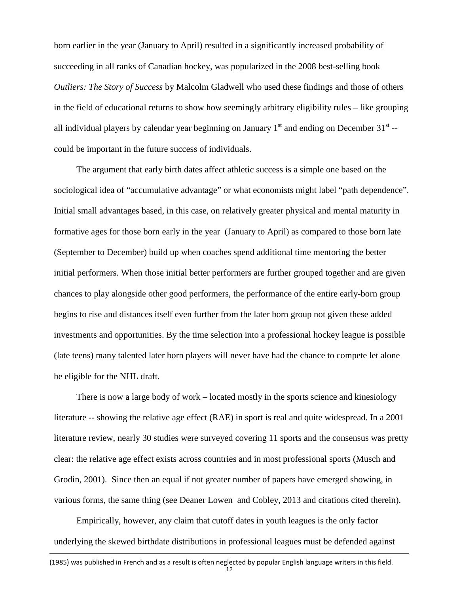born earlier in the year (January to April) resulted in a significantly increased probability of succeeding in all ranks of Canadian hockey, was popularized in the 2008 best-selling book *Outliers: The Story of Success* by Malcolm Gladwell who used these findings and those of others in the field of educational returns to show how seemingly arbitrary eligibility rules – like grouping all individual players by calendar year beginning on January  $1<sup>st</sup>$  and ending on December 31 $<sup>st</sup>$  --</sup> could be important in the future success of individuals.

The argument that early birth dates affect athletic success is a simple one based on the sociological idea of "accumulative advantage" or what economists might label "path dependence". Initial small advantages based, in this case, on relatively greater physical and mental maturity in formative ages for those born early in the year (January to April) as compared to those born late (September to December) build up when coaches spend additional time mentoring the better initial performers. When those initial better performers are further grouped together and are given chances to play alongside other good performers, the performance of the entire early-born group begins to rise and distances itself even further from the later born group not given these added investments and opportunities. By the time selection into a professional hockey league is possible (late teens) many talented later born players will never have had the chance to compete let alone be eligible for the NHL draft.

There is now a large body of work – located mostly in the sports science and kinesiology literature -- showing the relative age effect (RAE) in sport is real and quite widespread. In a 2001 literature review, nearly 30 studies were surveyed covering 11 sports and the consensus was pretty clear: the relative age effect exists across countries and in most professional sports (Musch and Grodin, 2001). Since then an equal if not greater number of papers have emerged showing, in various forms, the same thing (see Deaner Lowen and Cobley, 2013 and citations cited therein).

Empirically, however, any claim that cutoff dates in youth leagues is the only factor underlying the skewed birthdate distributions in professional leagues must be defended against

l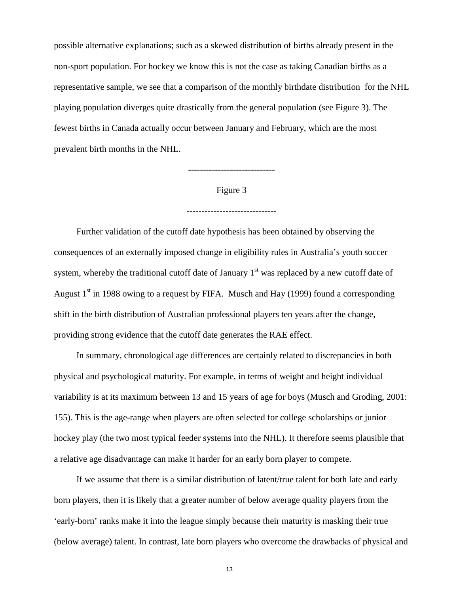possible alternative explanations; such as a skewed distribution of births already present in the non-sport population. For hockey we know this is not the case as taking Canadian births as a representative sample, we see that a comparison of the monthly birthdate distribution for the NHL playing population diverges quite drastically from the general population (see Figure 3). The fewest births in Canada actually occur between January and February, which are the most prevalent birth months in the NHL.

-----------------------------

Figure 3

------------------------------

Further validation of the cutoff date hypothesis has been obtained by observing the consequences of an externally imposed change in eligibility rules in Australia's youth soccer system, whereby the traditional cutoff date of January  $1<sup>st</sup>$  was replaced by a new cutoff date of August  $1<sup>st</sup>$  in 1988 owing to a request by FIFA. Musch and Hay (1999) found a corresponding shift in the birth distribution of Australian professional players ten years after the change, providing strong evidence that the cutoff date generates the RAE effect.

In summary, chronological age differences are certainly related to discrepancies in both physical and psychological maturity. For example, in terms of weight and height individual variability is at its maximum between 13 and 15 years of age for boys (Musch and Groding, 2001: 155). This is the age-range when players are often selected for college scholarships or junior hockey play (the two most typical feeder systems into the NHL). It therefore seems plausible that a relative age disadvantage can make it harder for an early born player to compete.

If we assume that there is a similar distribution of latent/true talent for both late and early born players, then it is likely that a greater number of below average quality players from the 'early-born' ranks make it into the league simply because their maturity is masking their true (below average) talent. In contrast, late born players who overcome the drawbacks of physical and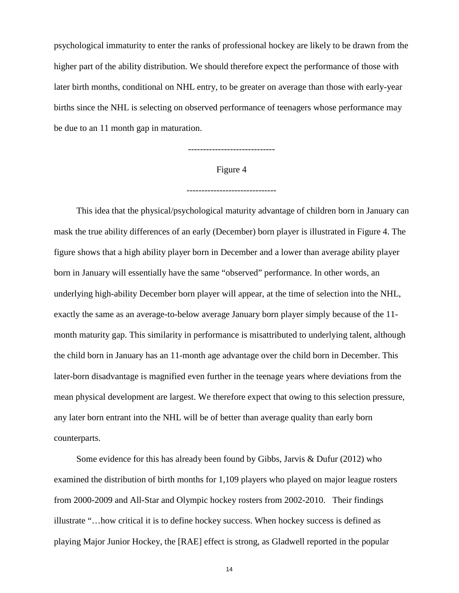psychological immaturity to enter the ranks of professional hockey are likely to be drawn from the higher part of the ability distribution. We should therefore expect the performance of those with later birth months, conditional on NHL entry, to be greater on average than those with early-year births since the NHL is selecting on observed performance of teenagers whose performance may be due to an 11 month gap in maturation.

-----------------------------

#### Figure 4

------------------------------

This idea that the physical/psychological maturity advantage of children born in January can mask the true ability differences of an early (December) born player is illustrated in Figure 4. The figure shows that a high ability player born in December and a lower than average ability player born in January will essentially have the same "observed" performance. In other words, an underlying high-ability December born player will appear, at the time of selection into the NHL, exactly the same as an average-to-below average January born player simply because of the 11 month maturity gap. This similarity in performance is misattributed to underlying talent, although the child born in January has an 11-month age advantage over the child born in December. This later-born disadvantage is magnified even further in the teenage years where deviations from the mean physical development are largest. We therefore expect that owing to this selection pressure, any later born entrant into the NHL will be of better than average quality than early born counterparts.

Some evidence for this has already been found by Gibbs, Jarvis & Dufur (2012) who examined the distribution of birth months for 1,109 players who played on major league rosters from 2000-2009 and All-Star and Olympic hockey rosters from 2002-2010. Their findings illustrate "…how critical it is to define hockey success. When hockey success is defined as playing Major Junior Hockey, the [RAE] effect is strong, as Gladwell reported in the popular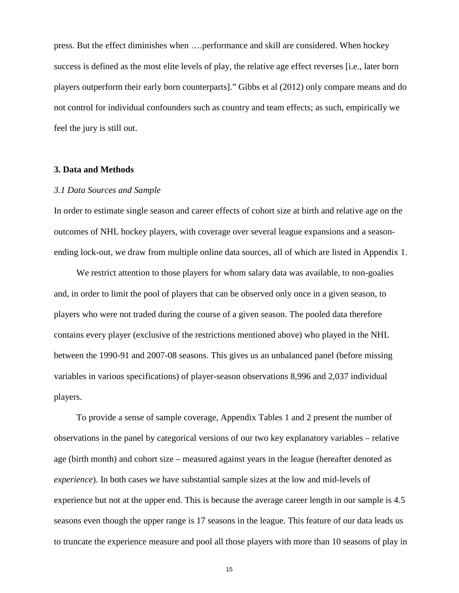press. But the effect diminishes when ….performance and skill are considered. When hockey success is defined as the most elite levels of play, the relative age effect reverses [i.e., later born players outperform their early born counterparts]." Gibbs et al (2012) only compare means and do not control for individual confounders such as country and team effects; as such, empirically we feel the jury is still out.

#### **3. Data and Methods**

#### *3.1 Data Sources and Sample*

In order to estimate single season and career effects of cohort size at birth and relative age on the outcomes of NHL hockey players, with coverage over several league expansions and a seasonending lock-out, we draw from multiple online data sources, all of which are listed in Appendix 1.

We restrict attention to those players for whom salary data was available, to non-goalies and, in order to limit the pool of players that can be observed only once in a given season, to players who were not traded during the course of a given season. The pooled data therefore contains every player (exclusive of the restrictions mentioned above) who played in the NHL between the 1990-91 and 2007-08 seasons. This gives us an unbalanced panel (before missing variables in various specifications) of player-season observations 8,996 and 2,037 individual players.

To provide a sense of sample coverage, Appendix Tables 1 and 2 present the number of observations in the panel by categorical versions of our two key explanatory variables – relative age (birth month) and cohort size – measured against years in the league (hereafter denoted as *experience*). In both cases we have substantial sample sizes at the low and mid-levels of experience but not at the upper end. This is because the average career length in our sample is 4.5 seasons even though the upper range is 17 seasons in the league. This feature of our data leads us to truncate the experience measure and pool all those players with more than 10 seasons of play in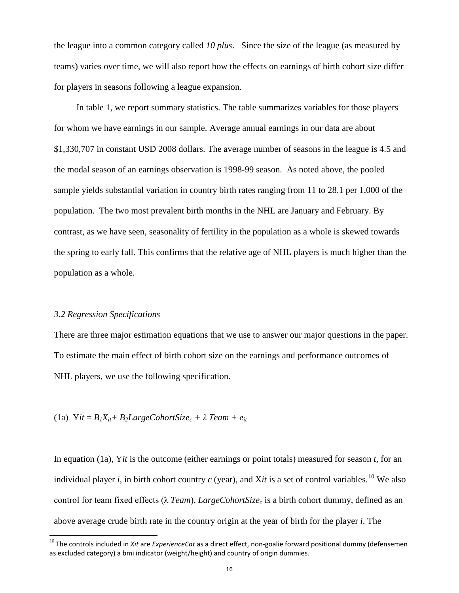the league into a common category called *10 plus*. Since the size of the league (as measured by teams) varies over time, we will also report how the effects on earnings of birth cohort size differ for players in seasons following a league expansion.

In table 1, we report summary statistics. The table summarizes variables for those players for whom we have earnings in our sample. Average annual earnings in our data are about \$1,330,707 in constant USD 2008 dollars. The average number of seasons in the league is 4.5 and the modal season of an earnings observation is 1998-99 season. As noted above, the pooled sample yields substantial variation in country birth rates ranging from 11 to 28.1 per 1,000 of the population. The two most prevalent birth months in the NHL are January and February. By contrast, as we have seen, seasonality of fertility in the population as a whole is skewed towards the spring to early fall. This confirms that the relative age of NHL players is much higher than the population as a whole.

#### *3.2 Regression Specifications*

There are three major estimation equations that we use to answer our major questions in the paper. To estimate the main effect of birth cohort size on the earnings and performance outcomes of NHL players, we use the following specification.

#### (1a)  $Yit = B_1X_{it} + B_2LargeColorSize_c + \lambda Team + e_{it}$

In equation (1a), Y*it* is the outcome (either earnings or point totals) measured for season *t,* for an individual player *i*, in birth cohort country *c* (year), and X*it* is a set of control variables.<sup>[10](#page-11-0)</sup> We also control for team fixed effects (λ *Team*). *LargeCohortSizec* is a birth cohort dummy, defined as an above average crude birth rate in the country origin at the year of birth for the player *i*. The

<span id="page-16-0"></span> <sup>10</sup> The controls included in *Xit* are *ExperienceCat* as a direct effect, non-goalie forward positional dummy (defensemen as excluded category) a bmi indicator (weight/height) and country of origin dummies.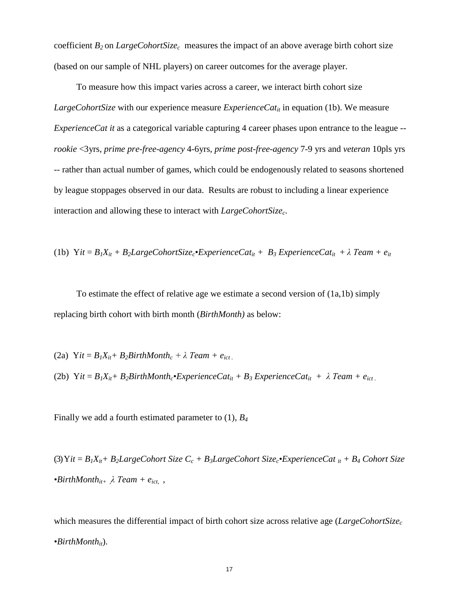coefficient *B2* on *LargeCohortSizec* measures the impact of an above average birth cohort size (based on our sample of NHL players) on career outcomes for the average player.

To measure how this impact varies across a career, we interact birth cohort size *LargeCohortSize* with our experience measure *ExperienceCat<sub>it</sub>* in equation (1b). We measure *ExperienceCat it* as a categorical variable capturing 4 career phases upon entrance to the league - *rookie* <3yrs, *prime pre-free-agency* 4-6yrs, *prime post-free-agency* 7-9 yrs and *veteran* 10pls yrs -- rather than actual number of games, which could be endogenously related to seasons shortened by league stoppages observed in our data. Results are robust to including a linear experience interaction and allowing these to interact with *LargeCohortSizec*.

(1b)  $Yit = B_1X_{it} + B_2LargeChortSize_c \cdot ExperienceCat_{it} + B_3 ExperienceCat_{it} + \lambda Team + e_{it}$ 

To estimate the effect of relative age we estimate a second version of (1a,1b) simply replacing birth cohort with birth month (*BirthMonth)* as below:

- (2a)  $Yit = B_1X_{it} + B_2BirthMonth_c + \lambda Team + e_{ict}$ .
- (2b)  $Yit = B_1X_{it} + B_2BirthMonth_c \cdot ExperienceCat_{it} + B_3 ExperienceCat_{it} + \lambda Team + e_{ict}.$

Finally we add a fourth estimated parameter to (1), *B4* 

(3)  $Yit = B_1X_{it} + B_2LargeColorSize C_c + B_3LargeColor Size C_c$  *Size*  $c_e$  *ExperienceCat*  $i_t + B_4$  *Cohort Size*  $\cdot$ *BirthMonth*<sub>it+</sub>  $\lambda$  *Team* +  $e_{ict}$ ,

which measures the differential impact of birth cohort size across relative age (*LargeCohortSizec* •*BirthMonth<sub>it</sub>*).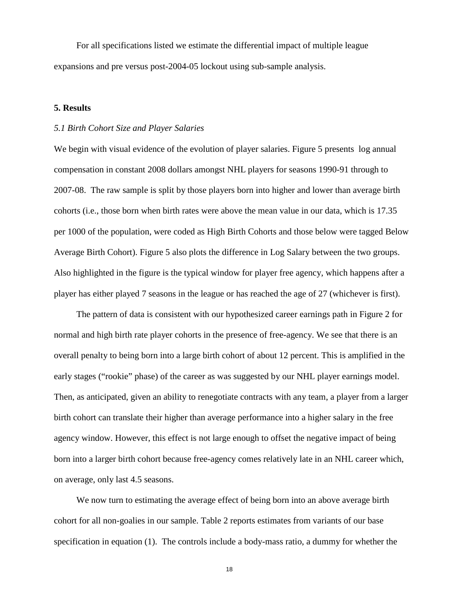For all specifications listed we estimate the differential impact of multiple league expansions and pre versus post-2004-05 lockout using sub-sample analysis.

#### **5. Results**

#### *5.1 Birth Cohort Size and Player Salaries*

We begin with visual evidence of the evolution of player salaries. Figure 5 presents log annual compensation in constant 2008 dollars amongst NHL players for seasons 1990-91 through to 2007-08. The raw sample is split by those players born into higher and lower than average birth cohorts (i.e., those born when birth rates were above the mean value in our data, which is 17.35 per 1000 of the population, were coded as High Birth Cohorts and those below were tagged Below Average Birth Cohort). Figure 5 also plots the difference in Log Salary between the two groups. Also highlighted in the figure is the typical window for player free agency, which happens after a player has either played 7 seasons in the league or has reached the age of 27 (whichever is first).

The pattern of data is consistent with our hypothesized career earnings path in Figure 2 for normal and high birth rate player cohorts in the presence of free-agency. We see that there is an overall penalty to being born into a large birth cohort of about 12 percent. This is amplified in the early stages ("rookie" phase) of the career as was suggested by our NHL player earnings model. Then, as anticipated, given an ability to renegotiate contracts with any team, a player from a larger birth cohort can translate their higher than average performance into a higher salary in the free agency window. However, this effect is not large enough to offset the negative impact of being born into a larger birth cohort because free-agency comes relatively late in an NHL career which, on average, only last 4.5 seasons.

We now turn to estimating the average effect of being born into an above average birth cohort for all non-goalies in our sample. Table 2 reports estimates from variants of our base specification in equation (1). The controls include a body-mass ratio, a dummy for whether the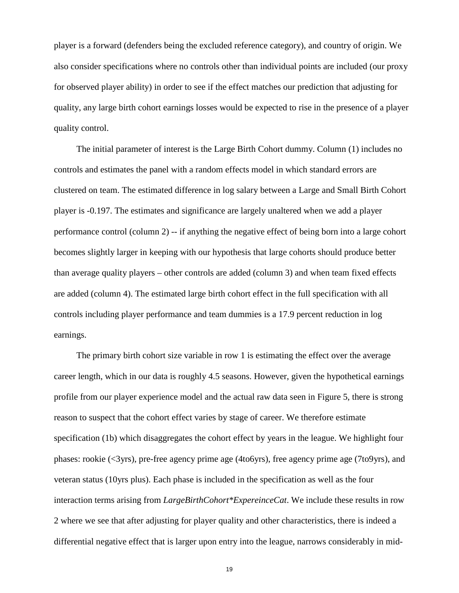player is a forward (defenders being the excluded reference category), and country of origin. We also consider specifications where no controls other than individual points are included (our proxy for observed player ability) in order to see if the effect matches our prediction that adjusting for quality, any large birth cohort earnings losses would be expected to rise in the presence of a player quality control.

The initial parameter of interest is the Large Birth Cohort dummy. Column (1) includes no controls and estimates the panel with a random effects model in which standard errors are clustered on team. The estimated difference in log salary between a Large and Small Birth Cohort player is -0.197. The estimates and significance are largely unaltered when we add a player performance control (column 2) -- if anything the negative effect of being born into a large cohort becomes slightly larger in keeping with our hypothesis that large cohorts should produce better than average quality players – other controls are added (column 3) and when team fixed effects are added (column 4). The estimated large birth cohort effect in the full specification with all controls including player performance and team dummies is a 17.9 percent reduction in log earnings.

The primary birth cohort size variable in row 1 is estimating the effect over the average career length, which in our data is roughly 4.5 seasons. However, given the hypothetical earnings profile from our player experience model and the actual raw data seen in Figure 5, there is strong reason to suspect that the cohort effect varies by stage of career. We therefore estimate specification (1b) which disaggregates the cohort effect by years in the league. We highlight four phases: rookie (<3yrs), pre-free agency prime age (4to6yrs), free agency prime age (7to9yrs), and veteran status (10yrs plus). Each phase is included in the specification as well as the four interaction terms arising from *LargeBirthCohort\*ExpereinceCat*. We include these results in row 2 where we see that after adjusting for player quality and other characteristics, there is indeed a differential negative effect that is larger upon entry into the league, narrows considerably in mid-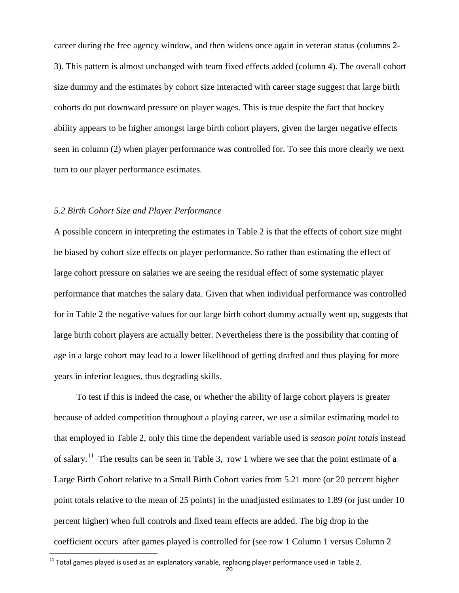career during the free agency window, and then widens once again in veteran status (columns 2- 3). This pattern is almost unchanged with team fixed effects added (column 4). The overall cohort size dummy and the estimates by cohort size interacted with career stage suggest that large birth cohorts do put downward pressure on player wages. This is true despite the fact that hockey ability appears to be higher amongst large birth cohort players, given the larger negative effects seen in column (2) when player performance was controlled for. To see this more clearly we next turn to our player performance estimates.

#### *5.2 Birth Cohort Size and Player Performance*

A possible concern in interpreting the estimates in Table 2 is that the effects of cohort size might be biased by cohort size effects on player performance. So rather than estimating the effect of large cohort pressure on salaries we are seeing the residual effect of some systematic player performance that matches the salary data. Given that when individual performance was controlled for in Table 2 the negative values for our large birth cohort dummy actually went up, suggests that large birth cohort players are actually better. Nevertheless there is the possibility that coming of age in a large cohort may lead to a lower likelihood of getting drafted and thus playing for more years in inferior leagues, thus degrading skills.

To test if this is indeed the case, or whether the ability of large cohort players is greater because of added competition throughout a playing career, we use a similar estimating model to that employed in Table 2, only this time the dependent variable used is *season point totals* instead of salary.<sup>[11](#page-16-0)</sup> The results can be seen in Table 3, row 1 where we see that the point estimate of a Large Birth Cohort relative to a Small Birth Cohort varies from 5.21 more (or 20 percent higher point totals relative to the mean of 25 points) in the unadjusted estimates to 1.89 (or just under 10 percent higher) when full controls and fixed team effects are added. The big drop in the coefficient occurs after games played is controlled for (see row 1 Column 1 versus Column 2

<span id="page-20-0"></span>**The Lands**<br><sup>11</sup> Total games played is used as an explanatory variable, replacing player performance used in Table 2.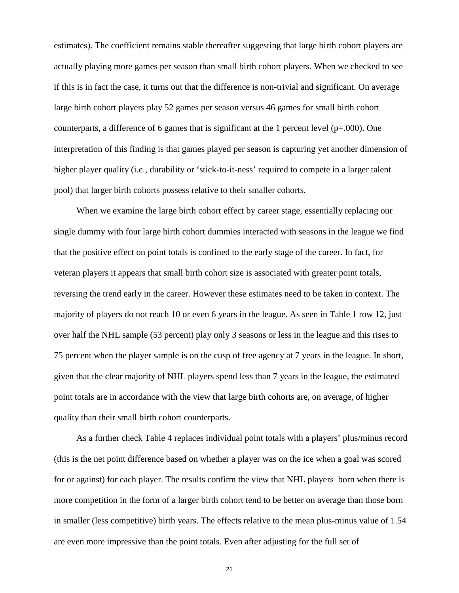estimates). The coefficient remains stable thereafter suggesting that large birth cohort players are actually playing more games per season than small birth cohort players. When we checked to see if this is in fact the case, it turns out that the difference is non-trivial and significant. On average large birth cohort players play 52 games per season versus 46 games for small birth cohort counterparts, a difference of 6 games that is significant at the 1 percent level ( $p=0.000$ ). One interpretation of this finding is that games played per season is capturing yet another dimension of higher player quality (i.e., durability or 'stick-to-it-ness' required to compete in a larger talent pool) that larger birth cohorts possess relative to their smaller cohorts.

When we examine the large birth cohort effect by career stage, essentially replacing our single dummy with four large birth cohort dummies interacted with seasons in the league we find that the positive effect on point totals is confined to the early stage of the career. In fact, for veteran players it appears that small birth cohort size is associated with greater point totals, reversing the trend early in the career. However these estimates need to be taken in context. The majority of players do not reach 10 or even 6 years in the league. As seen in Table 1 row 12, just over half the NHL sample (53 percent) play only 3 seasons or less in the league and this rises to 75 percent when the player sample is on the cusp of free agency at 7 years in the league. In short, given that the clear majority of NHL players spend less than 7 years in the league, the estimated point totals are in accordance with the view that large birth cohorts are, on average, of higher quality than their small birth cohort counterparts.

As a further check Table 4 replaces individual point totals with a players' plus/minus record (this is the net point difference based on whether a player was on the ice when a goal was scored for or against) for each player. The results confirm the view that NHL players born when there is more competition in the form of a larger birth cohort tend to be better on average than those born in smaller (less competitive) birth years. The effects relative to the mean plus-minus value of 1.54 are even more impressive than the point totals. Even after adjusting for the full set of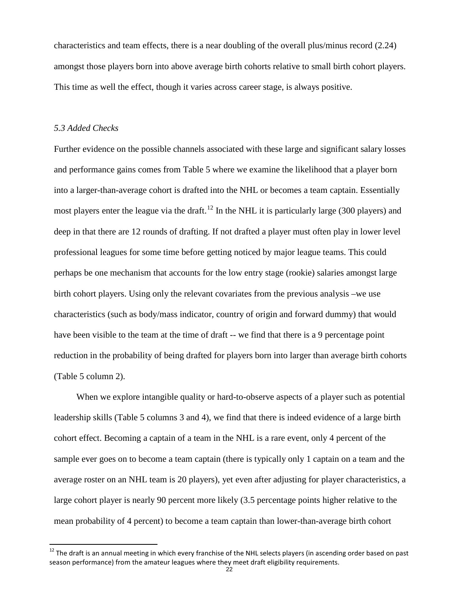characteristics and team effects, there is a near doubling of the overall plus/minus record (2.24) amongst those players born into above average birth cohorts relative to small birth cohort players. This time as well the effect, though it varies across career stage, is always positive.

#### *5.3 Added Checks*

Further evidence on the possible channels associated with these large and significant salary losses and performance gains comes from Table 5 where we examine the likelihood that a player born into a larger-than-average cohort is drafted into the NHL or becomes a team captain. Essentially most players enter the league via the draft.<sup>[12](#page-20-0)</sup> In the NHL it is particularly large (300 players) and deep in that there are 12 rounds of drafting. If not drafted a player must often play in lower level professional leagues for some time before getting noticed by major league teams. This could perhaps be one mechanism that accounts for the low entry stage (rookie) salaries amongst large birth cohort players. Using only the relevant covariates from the previous analysis –we use characteristics (such as body/mass indicator, country of origin and forward dummy) that would have been visible to the team at the time of draft -- we find that there is a 9 percentage point reduction in the probability of being drafted for players born into larger than average birth cohorts (Table 5 column 2).

When we explore intangible quality or hard-to-observe aspects of a player such as potential leadership skills (Table 5 columns 3 and 4), we find that there is indeed evidence of a large birth cohort effect. Becoming a captain of a team in the NHL is a rare event, only 4 percent of the sample ever goes on to become a team captain (there is typically only 1 captain on a team and the average roster on an NHL team is 20 players), yet even after adjusting for player characteristics, a large cohort player is nearly 90 percent more likely (3.5 percentage points higher relative to the mean probability of 4 percent) to become a team captain than lower-than-average birth cohort

<span id="page-22-0"></span> $12$  The draft is an annual meeting in which every franchise of the NHL selects players (in ascending order based on past season performance) from the amateur leagues where they meet draft eligibility requirements.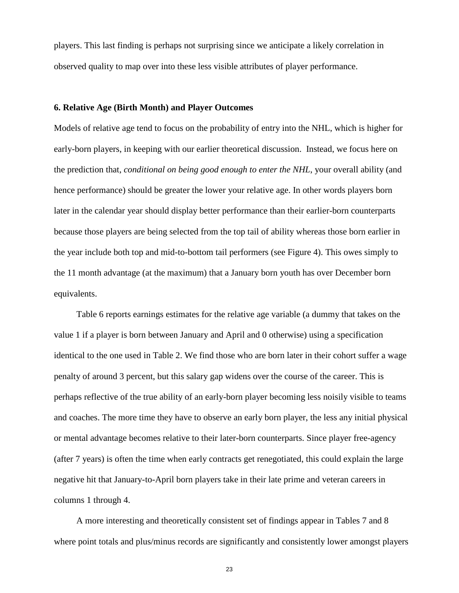players. This last finding is perhaps not surprising since we anticipate a likely correlation in observed quality to map over into these less visible attributes of player performance.

#### **6. Relative Age (Birth Month) and Player Outcomes**

Models of relative age tend to focus on the probability of entry into the NHL, which is higher for early-born players, in keeping with our earlier theoretical discussion. Instead, we focus here on the prediction that, *conditional on being good enough to enter the NHL*, your overall ability (and hence performance) should be greater the lower your relative age. In other words players born later in the calendar year should display better performance than their earlier-born counterparts because those players are being selected from the top tail of ability whereas those born earlier in the year include both top and mid-to-bottom tail performers (see Figure 4). This owes simply to the 11 month advantage (at the maximum) that a January born youth has over December born equivalents.

Table 6 reports earnings estimates for the relative age variable (a dummy that takes on the value 1 if a player is born between January and April and 0 otherwise) using a specification identical to the one used in Table 2. We find those who are born later in their cohort suffer a wage penalty of around 3 percent, but this salary gap widens over the course of the career. This is perhaps reflective of the true ability of an early-born player becoming less noisily visible to teams and coaches. The more time they have to observe an early born player, the less any initial physical or mental advantage becomes relative to their later-born counterparts. Since player free-agency (after 7 years) is often the time when early contracts get renegotiated, this could explain the large negative hit that January-to-April born players take in their late prime and veteran careers in columns 1 through 4.

A more interesting and theoretically consistent set of findings appear in Tables 7 and 8 where point totals and plus/minus records are significantly and consistently lower amongst players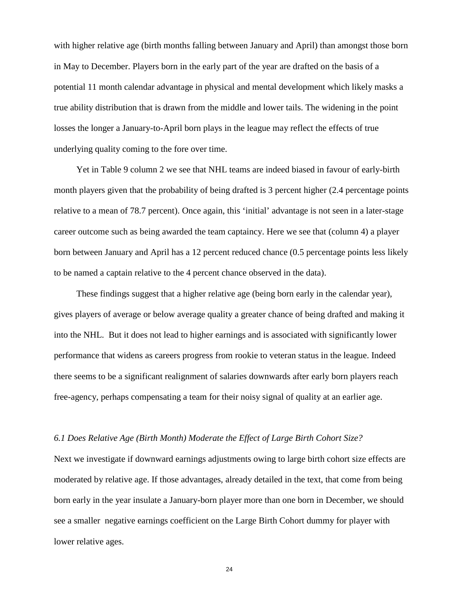with higher relative age (birth months falling between January and April) than amongst those born in May to December. Players born in the early part of the year are drafted on the basis of a potential 11 month calendar advantage in physical and mental development which likely masks a true ability distribution that is drawn from the middle and lower tails. The widening in the point losses the longer a January-to-April born plays in the league may reflect the effects of true underlying quality coming to the fore over time.

Yet in Table 9 column 2 we see that NHL teams are indeed biased in favour of early-birth month players given that the probability of being drafted is 3 percent higher (2.4 percentage points relative to a mean of 78.7 percent). Once again, this 'initial' advantage is not seen in a later-stage career outcome such as being awarded the team captaincy. Here we see that (column 4) a player born between January and April has a 12 percent reduced chance (0.5 percentage points less likely to be named a captain relative to the 4 percent chance observed in the data).

These findings suggest that a higher relative age (being born early in the calendar year), gives players of average or below average quality a greater chance of being drafted and making it into the NHL. But it does not lead to higher earnings and is associated with significantly lower performance that widens as careers progress from rookie to veteran status in the league. Indeed there seems to be a significant realignment of salaries downwards after early born players reach free-agency, perhaps compensating a team for their noisy signal of quality at an earlier age.

#### *6.1 Does Relative Age (Birth Month) Moderate the Effect of Large Birth Cohort Size?*

Next we investigate if downward earnings adjustments owing to large birth cohort size effects are moderated by relative age. If those advantages, already detailed in the text, that come from being born early in the year insulate a January-born player more than one born in December, we should see a smaller negative earnings coefficient on the Large Birth Cohort dummy for player with lower relative ages.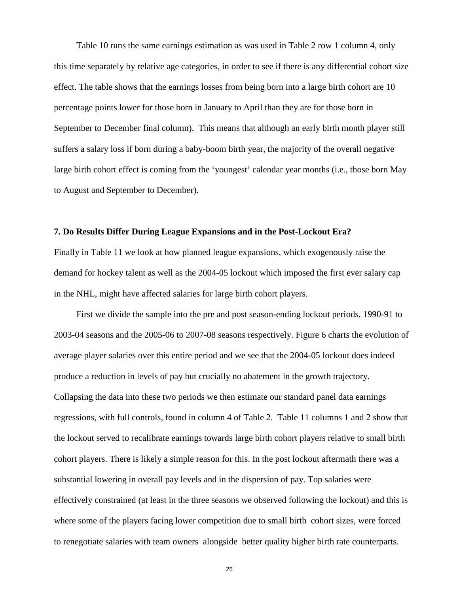Table 10 runs the same earnings estimation as was used in Table 2 row 1 column 4, only this time separately by relative age categories, in order to see if there is any differential cohort size effect. The table shows that the earnings losses from being born into a large birth cohort are 10 percentage points lower for those born in January to April than they are for those born in September to December final column). This means that although an early birth month player still suffers a salary loss if born during a baby-boom birth year, the majority of the overall negative large birth cohort effect is coming from the 'youngest' calendar year months (i.e., those born May to August and September to December).

#### **7. Do Results Differ During League Expansions and in the Post-Lockout Era?**

Finally in Table 11 we look at how planned league expansions, which exogenously raise the demand for hockey talent as well as the 2004-05 lockout which imposed the first ever salary cap in the NHL, might have affected salaries for large birth cohort players.

First we divide the sample into the pre and post season-ending lockout periods, 1990-91 to 2003-04 seasons and the 2005-06 to 2007-08 seasons respectively. Figure 6 charts the evolution of average player salaries over this entire period and we see that the 2004-05 lockout does indeed produce a reduction in levels of pay but crucially no abatement in the growth trajectory. Collapsing the data into these two periods we then estimate our standard panel data earnings regressions, with full controls, found in column 4 of Table 2. Table 11 columns 1 and 2 show that the lockout served to recalibrate earnings towards large birth cohort players relative to small birth cohort players. There is likely a simple reason for this. In the post lockout aftermath there was a substantial lowering in overall pay levels and in the dispersion of pay. Top salaries were effectively constrained (at least in the three seasons we observed following the lockout) and this is where some of the players facing lower competition due to small birth cohort sizes, were forced to renegotiate salaries with team owners alongside better quality higher birth rate counterparts.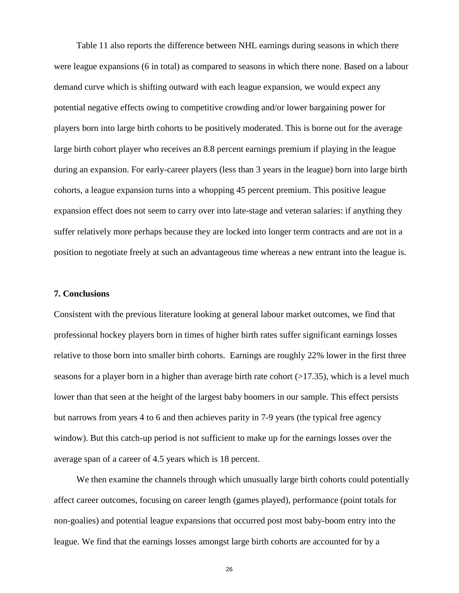Table 11 also reports the difference between NHL earnings during seasons in which there were league expansions (6 in total) as compared to seasons in which there none. Based on a labour demand curve which is shifting outward with each league expansion, we would expect any potential negative effects owing to competitive crowding and/or lower bargaining power for players born into large birth cohorts to be positively moderated. This is borne out for the average large birth cohort player who receives an 8.8 percent earnings premium if playing in the league during an expansion. For early-career players (less than 3 years in the league) born into large birth cohorts, a league expansion turns into a whopping 45 percent premium. This positive league expansion effect does not seem to carry over into late-stage and veteran salaries: if anything they suffer relatively more perhaps because they are locked into longer term contracts and are not in a position to negotiate freely at such an advantageous time whereas a new entrant into the league is.

#### **7. Conclusions**

Consistent with the previous literature looking at general labour market outcomes, we find that professional hockey players born in times of higher birth rates suffer significant earnings losses relative to those born into smaller birth cohorts. Earnings are roughly 22% lower in the first three seasons for a player born in a higher than average birth rate cohort  $(>17.35)$ , which is a level much lower than that seen at the height of the largest baby boomers in our sample. This effect persists but narrows from years 4 to 6 and then achieves parity in 7-9 years (the typical free agency window). But this catch-up period is not sufficient to make up for the earnings losses over the average span of a career of 4.5 years which is 18 percent.

We then examine the channels through which unusually large birth cohorts could potentially affect career outcomes, focusing on career length (games played), performance (point totals for non-goalies) and potential league expansions that occurred post most baby-boom entry into the league. We find that the earnings losses amongst large birth cohorts are accounted for by a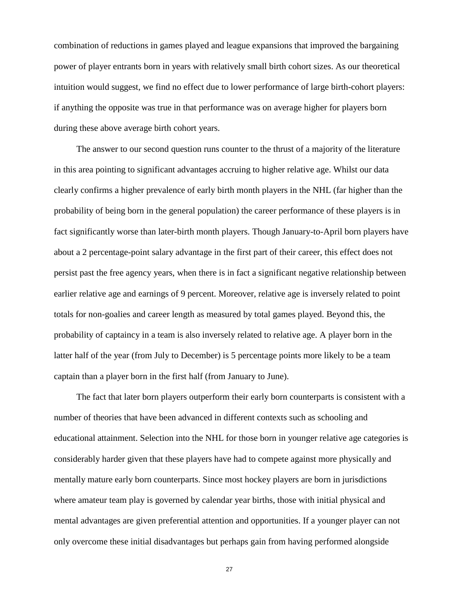combination of reductions in games played and league expansions that improved the bargaining power of player entrants born in years with relatively small birth cohort sizes. As our theoretical intuition would suggest, we find no effect due to lower performance of large birth-cohort players: if anything the opposite was true in that performance was on average higher for players born during these above average birth cohort years.

The answer to our second question runs counter to the thrust of a majority of the literature in this area pointing to significant advantages accruing to higher relative age. Whilst our data clearly confirms a higher prevalence of early birth month players in the NHL (far higher than the probability of being born in the general population) the career performance of these players is in fact significantly worse than later-birth month players. Though January-to-April born players have about a 2 percentage-point salary advantage in the first part of their career, this effect does not persist past the free agency years, when there is in fact a significant negative relationship between earlier relative age and earnings of 9 percent. Moreover, relative age is inversely related to point totals for non-goalies and career length as measured by total games played. Beyond this, the probability of captaincy in a team is also inversely related to relative age. A player born in the latter half of the year (from July to December) is 5 percentage points more likely to be a team captain than a player born in the first half (from January to June).

The fact that later born players outperform their early born counterparts is consistent with a number of theories that have been advanced in different contexts such as schooling and educational attainment. Selection into the NHL for those born in younger relative age categories is considerably harder given that these players have had to compete against more physically and mentally mature early born counterparts. Since most hockey players are born in jurisdictions where amateur team play is governed by calendar year births, those with initial physical and mental advantages are given preferential attention and opportunities. If a younger player can not only overcome these initial disadvantages but perhaps gain from having performed alongside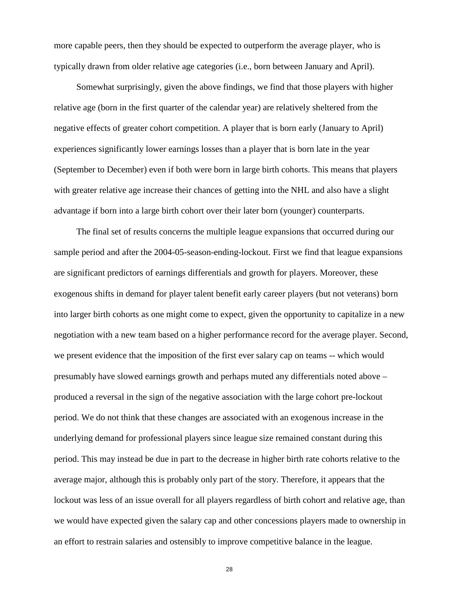more capable peers, then they should be expected to outperform the average player, who is typically drawn from older relative age categories (i.e., born between January and April).

Somewhat surprisingly, given the above findings, we find that those players with higher relative age (born in the first quarter of the calendar year) are relatively sheltered from the negative effects of greater cohort competition. A player that is born early (January to April) experiences significantly lower earnings losses than a player that is born late in the year (September to December) even if both were born in large birth cohorts. This means that players with greater relative age increase their chances of getting into the NHL and also have a slight advantage if born into a large birth cohort over their later born (younger) counterparts.

The final set of results concerns the multiple league expansions that occurred during our sample period and after the 2004-05-season-ending-lockout. First we find that league expansions are significant predictors of earnings differentials and growth for players. Moreover, these exogenous shifts in demand for player talent benefit early career players (but not veterans) born into larger birth cohorts as one might come to expect, given the opportunity to capitalize in a new negotiation with a new team based on a higher performance record for the average player. Second, we present evidence that the imposition of the first ever salary cap on teams -- which would presumably have slowed earnings growth and perhaps muted any differentials noted above – produced a reversal in the sign of the negative association with the large cohort pre-lockout period. We do not think that these changes are associated with an exogenous increase in the underlying demand for professional players since league size remained constant during this period. This may instead be due in part to the decrease in higher birth rate cohorts relative to the average major, although this is probably only part of the story. Therefore, it appears that the lockout was less of an issue overall for all players regardless of birth cohort and relative age, than we would have expected given the salary cap and other concessions players made to ownership in an effort to restrain salaries and ostensibly to improve competitive balance in the league.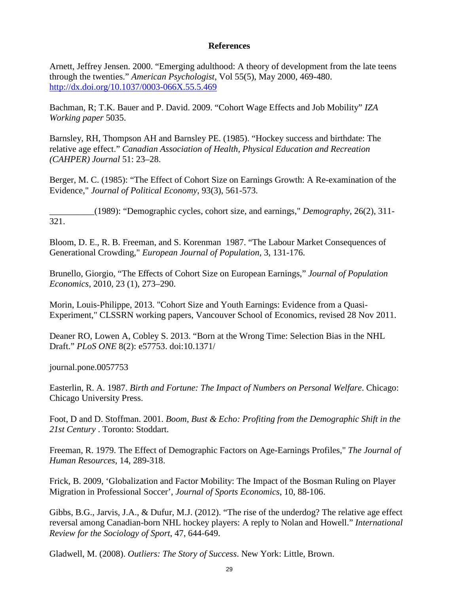#### **References**

Arnett, Jeffrey Jensen. 2000. "Emerging adulthood: A theory of development from the late teens through the twenties." *American Psychologist*, Vol 55(5), May 2000, 469-480. <http://dx.doi.org/10.1037/0003-066X.55.5.469>

Bachman, R; T.K. Bauer and P. David. 2009. "Cohort Wage Effects and Job Mobility" *IZA Working paper* 5035.

Barnsley, RH, Thompson AH and Barnsley PE. (1985). "Hockey success and birthdate: The relative age effect." *Canadian Association of Health, Physical Education and Recreation (CAHPER) Journal* 51: 23–28.

Berger, M. C. (1985): "The Effect of Cohort Size on Earnings Growth: A Re-examination of the Evidence," *Journal of Political Economy*, 93(3), 561-573.

\_\_\_\_\_\_\_\_\_\_(1989): "Demographic cycles, cohort size, and earnings," *Demography*, 26(2), 311- 321.

Bloom, D. E., R. B. Freeman, and S. Korenman 1987. "The Labour Market Consequences of Generational Crowding," *European Journal of Population*, 3, 131-176.

Brunello, Giorgio, "The Effects of Cohort Size on European Earnings," *Journal of Population Economics,* 2010, 23 (1), 273–290.

Morin, Louis-Philippe, 2013. "Cohort Size and Youth Earnings: Evidence from a Quasi-Experiment," CLSSRN working papers, Vancouver School of Economics, revised 28 Nov 2011.

Deaner RO, Lowen A, Cobley S. 2013. "Born at the Wrong Time: Selection Bias in the NHL Draft." *PLoS ONE* 8(2): e57753. doi:10.1371/

journal.pone.0057753

Easterlin, R. A. 1987. *Birth and Fortune: The Impact of Numbers on Personal Welfare*. Chicago: Chicago University Press.

Foot, D and D. Stoffman. 2001. *Boom, Bust & Echo: Profiting from the Demographic Shift in the 21st Century* . Toronto: Stoddart.

Freeman, R. 1979. The Effect of Demographic Factors on Age-Earnings Profiles," *The Journal of Human Resources,* 14, 289-318.

Frick, B. 2009, 'Globalization and Factor Mobility: The Impact of the Bosman Ruling on Player Migration in Professional Soccer', *Journal of Sports Economics*, 10, 88-106.

Gibbs, B.G., Jarvis, J.A., & Dufur, M.J. (2012). "The rise of the underdog? The relative age effect reversal among Canadian-born NHL hockey players: A reply to Nolan and Howell." *International Review for the Sociology of Sport*, 47, 644-649.

Gladwell, M. (2008). *Outliers: The Story of Success*. New York: Little, Brown.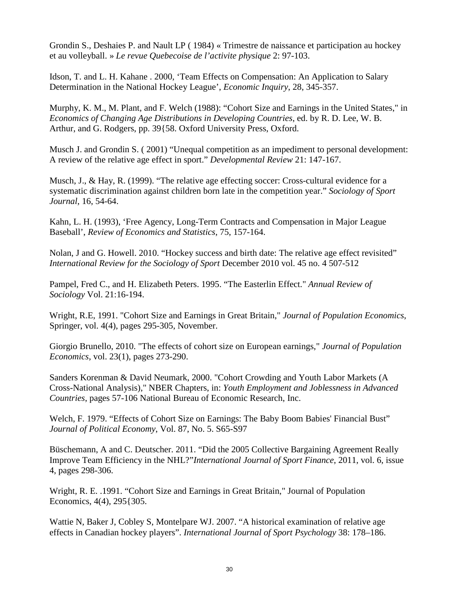Grondin S., Deshaies P. and Nault LP ( 1984) « Trimestre de naissance et participation au hockey et au volleyball. » *Le revue Quebecoise de l'activite physique* 2: 97-103.

Idson, T. and L. H. Kahane . 2000, 'Team Effects on Compensation: An Application to Salary Determination in the National Hockey League', *Economic Inquiry*, 28, 345-357.

Murphy, K. M., M. Plant, and F. Welch (1988): "Cohort Size and Earnings in the United States," in *Economics of Changing Age Distributions in Developing Countries*, ed. by R. D. Lee, W. B. Arthur, and G. Rodgers, pp. 39{58. Oxford University Press, Oxford.

Musch J. and Grondin S. ( 2001) "Unequal competition as an impediment to personal development: A review of the relative age effect in sport." *Developmental Review* 21: 147-167.

Musch, J., & Hay, R. (1999). "The relative age effecting soccer: Cross-cultural evidence for a systematic discrimination against children born late in the competition year." *Sociology of Sport Journal*, 16, 54-64.

Kahn, L. H. (1993), 'Free Agency, Long-Term Contracts and Compensation in Major League Baseball', *Review of Economics and Statistics*, 75, 157-164.

Nolan, J and G. Howell. 2010. "Hockey success and birth date: The relative age effect revisited" *International Review for the Sociology of Sport* December 2010 vol. 45 no. 4 507-512

Pampel, Fred C., and H. Elizabeth Peters. 1995. "The Easterlin Effect." *Annual Review of Sociology* Vol. 21:16-194.

Wright, R.E, 1991. "Cohort Size and Earnings in Great Britain," *Journal of Population Economics*, Springer, vol. 4(4), pages 295-305, November.

Giorgio Brunello, 2010. "The effects of cohort size on European earnings," *Journal of Population Economics*, vol. 23(1), pages 273-290.

Sanders Korenman & David Neumark, 2000. "Cohort Crowding and Youth Labor Markets (A Cross-National Analysis)," NBER Chapters, in: *Youth Employment and Joblessness in Advanced Countries*, pages 57-106 National Bureau of Economic Research, Inc.

Welch, F. 1979. "Effects of Cohort Size on Earnings: The Baby Boom Babies' Financial Bust" *Journal of Political Economy*, Vol. 87, No. 5. S65-S97

Büschemann, A and C. Deutscher. 2011. "Did the 2005 Collective Bargaining Agreement Really Improve Team Efficiency in the NHL?"*International Journal of Sport Finance*, 2011, vol. 6, issue 4, pages 298-306.

Wright, R. E. .1991. "Cohort Size and Earnings in Great Britain," Journal of Population Economics, 4(4), 295{305.

Wattie N, Baker J, Cobley S, Montelpare WJ. 2007. "A historical examination of relative age effects in Canadian hockey players". *International Journal of Sport Psychology* 38: 178–186.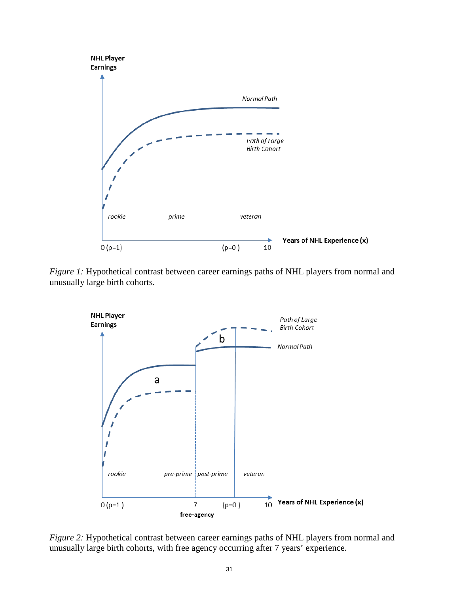

*Figure 1:* Hypothetical contrast between career earnings paths of NHL players from normal and unusually large birth cohorts.



*Figure 2:* Hypothetical contrast between career earnings paths of NHL players from normal and unusually large birth cohorts, with free agency occurring after 7 years' experience.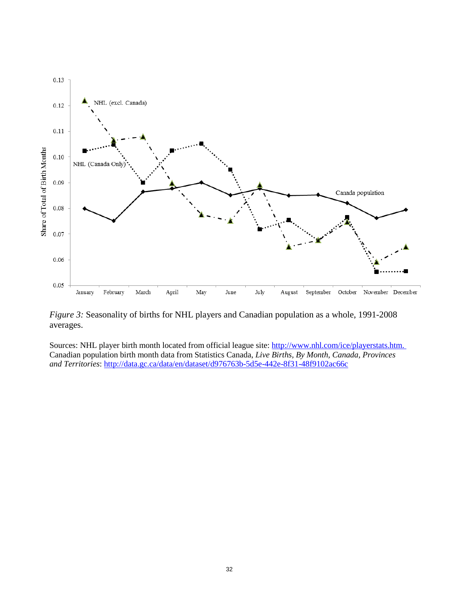

*Figure 3:* Seasonality of births for NHL players and Canadian population as a whole, 1991-2008 averages.

Sources: NHL player birth month located from official league site: [http://www.nhl.com/ice/playerstats.htm.](http://www.nhl.com/ice/playerstats.htm) Canadian population birth month data from Statistics Canada, *Live Births, By Month, Canada, Provinces and Territories*[: http://data.gc.ca/data/en/dataset/d976763b-5d5e-442e-8f31-48f9102ac66c](http://data.gc.ca/data/en/dataset/d976763b-5d5e-442e-8f31-48f9102ac66c)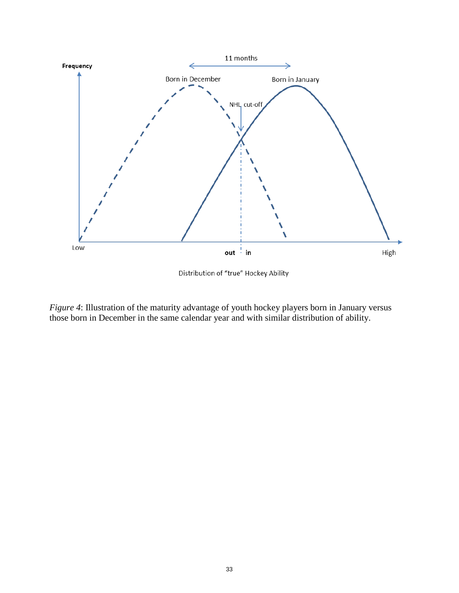

Distribution of "true" Hockey Ability

*Figure 4*: Illustration of the maturity advantage of youth hockey players born in January versus those born in December in the same calendar year and with similar distribution of ability.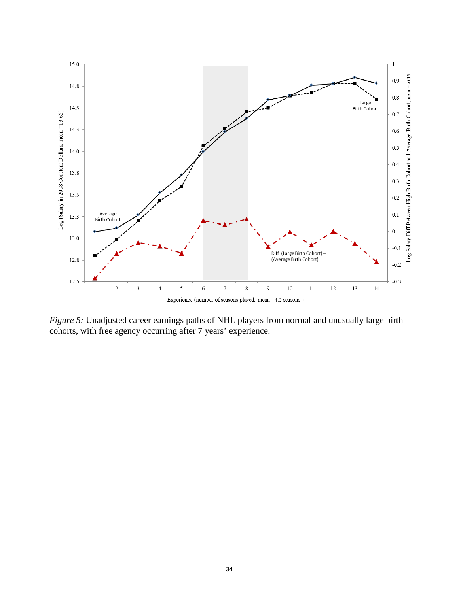

*Figure 5:* Unadjusted career earnings paths of NHL players from normal and unusually large birth cohorts, with free agency occurring after 7 years' experience.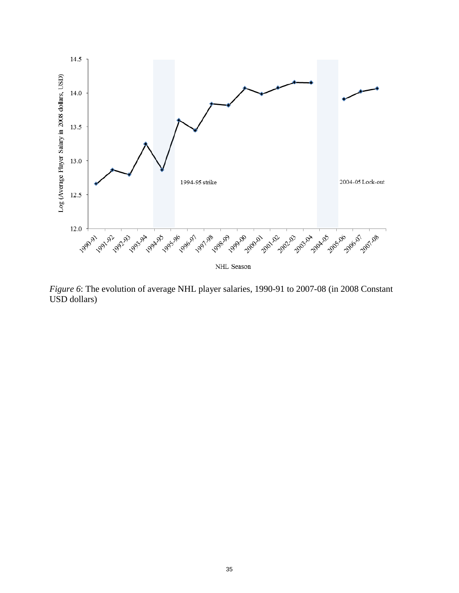

*Figure 6*: The evolution of average NHL player salaries, 1990-91 to 2007-08 (in 2008 Constant USD dollars)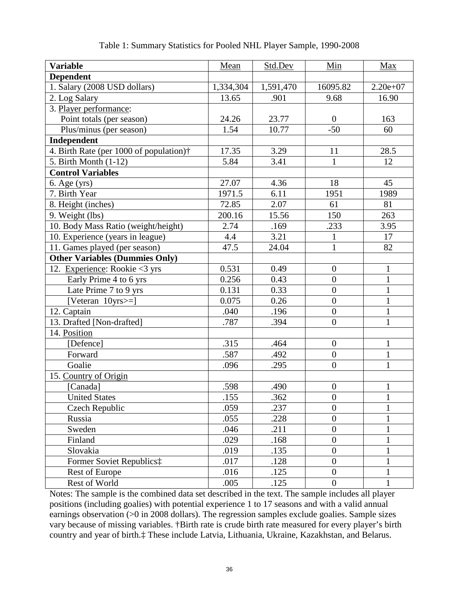| <b>Variable</b>                         | Mean      | Std.Dev   | Min              | Max          |
|-----------------------------------------|-----------|-----------|------------------|--------------|
| <b>Dependent</b>                        |           |           |                  |              |
| 1. Salary (2008 USD dollars)            | 1,334,304 | 1,591,470 | 16095.82         | $2.20e+07$   |
| 2. Log Salary                           | 13.65     | .901      | 9.68             | 16.90        |
| 3. Player performance:                  |           |           |                  |              |
| Point totals (per season)               | 24.26     | 23.77     | $\mathbf{0}$     | 163          |
| Plus/minus (per season)                 | 1.54      | 10.77     | $-50$            | 60           |
| Independent                             |           |           |                  |              |
| 4. Birth Rate (per 1000 of population)† | 17.35     | 3.29      | 11               | 28.5         |
| 5. Birth Month $(1-12)$                 | 5.84      | 3.41      | $\mathbf{1}$     | 12           |
| <b>Control Variables</b>                |           |           |                  |              |
| $6. \text{Age}(\text{yrs})$             | 27.07     | 4.36      | 18               | 45           |
| 7. Birth Year                           | 1971.5    | 6.11      | 1951             | 1989         |
| 8. Height (inches)                      | 72.85     | 2.07      | 61               | 81           |
| 9. Weight (lbs)                         | 200.16    | 15.56     | 150              | 263          |
| 10. Body Mass Ratio (weight/height)     | 2.74      | .169      | .233             | 3.95         |
| 10. Experience (years in league)        | 4.4       | 3.21      | $\mathbf{1}$     | 17           |
| 11. Games played (per season)           | 47.5      | 24.04     | $\mathbf{1}$     | 82           |
| <b>Other Variables (Dummies Only)</b>   |           |           |                  |              |
| 12. Experience: Rookie <3 yrs           | 0.531     | 0.49      | $\mathbf{0}$     | $\mathbf{1}$ |
| Early Prime 4 to 6 yrs                  | 0.256     | 0.43      | $\boldsymbol{0}$ | $\mathbf{1}$ |
| Late Prime 7 to 9 yrs                   | 0.131     | 0.33      | $\overline{0}$   | $\mathbf{1}$ |
| [Veteran $10$ yrs $>=$ ]                | 0.075     | 0.26      | $\boldsymbol{0}$ | $\mathbf{1}$ |
| 12. Captain                             | .040      | .196      | $\boldsymbol{0}$ | $\mathbf{1}$ |
| 13. Drafted [Non-drafted]               | .787      | .394      | $\overline{0}$   | $\mathbf{1}$ |
| 14. Position                            |           |           |                  |              |
| [Defence]                               | .315      | .464      | $\boldsymbol{0}$ | $\mathbf{1}$ |
| Forward                                 | .587      | .492      | $\overline{0}$   | $\mathbf{1}$ |
| Goalie                                  | .096      | .295      | $\boldsymbol{0}$ | $\mathbf{1}$ |
| 15. Country of Origin                   |           |           |                  |              |
| [Canada]                                | .598      | .490      | $\boldsymbol{0}$ | $\mathbf{1}$ |
| <b>United States</b>                    | .155      | .362      | $\boldsymbol{0}$ |              |
| <b>Czech Republic</b>                   | .059      | .237      | $\overline{0}$   |              |
| Russia                                  | .055      | .228      | $\boldsymbol{0}$ | 1            |
| Sweden                                  | .046      | .211      | $\boldsymbol{0}$ |              |
| Finland                                 | .029      | .168      | $\boldsymbol{0}$ | $\mathbf{1}$ |
| Slovakia                                | .019      | .135      | $\boldsymbol{0}$ | 1            |
| Former Soviet Republics‡                | .017      | .128      | $\overline{0}$   | $\mathbf{1}$ |
| Rest of Europe                          | .016      | .125      | $\boldsymbol{0}$ | $\mathbf{1}$ |
| Rest of World                           | .005      | .125      | $\boldsymbol{0}$ | $\mathbf{1}$ |

|  | Table 1: Summary Statistics for Pooled NHL Player Sample, 1990-2008 |  |  |  |  |
|--|---------------------------------------------------------------------|--|--|--|--|
|  |                                                                     |  |  |  |  |

Notes: The sample is the combined data set described in the text. The sample includes all player positions (including goalies) with potential experience 1 to 17 seasons and with a valid annual earnings observation (>0 in 2008 dollars). The regression samples exclude goalies. Sample sizes vary because of missing variables. †Birth rate is crude birth rate measured for every player's birth country and year of birth.‡ These include Latvia, Lithuania, Ukraine, Kazakhstan, and Belarus.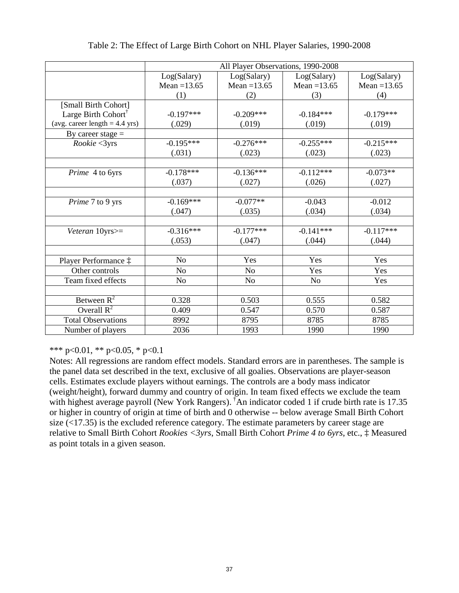|                                  | All Player Observations, 1990-2008 |                |                |                |  |
|----------------------------------|------------------------------------|----------------|----------------|----------------|--|
|                                  | Log(Salary)                        | Log(Salary)    | Log(Salary)    | Log(Salary)    |  |
|                                  | Mean = $13.65$                     | Mean = $13.65$ | Mean = $13.65$ | Mean = $13.65$ |  |
|                                  | (1)                                | (2)            | (3)            | (4)            |  |
| [Small Birth Cohort]             |                                    |                |                |                |  |
| Large Birth Cohort <sup>†</sup>  | $-0.197***$                        | $-0.209***$    | $-0.184***$    | $-0.179***$    |  |
| (avg. career length $= 4.4$ yrs) | (.029)                             | (.019)         | (.019)         | (.019)         |  |
| By career stage $=$              |                                    |                |                |                |  |
| Rookie <3yrs                     | $-0.195***$                        | $-0.276***$    | $-0.255***$    | $-0.215***$    |  |
|                                  | (.031)                             | (.023)         | (.023)         | (.023)         |  |
|                                  |                                    |                |                |                |  |
| <i>Prime</i> 4 to 6yrs           | $-0.178***$                        | $-0.136***$    | $-0.112***$    | $-0.073**$     |  |
|                                  | (.037)                             | (.027)         | (.026)         | (.027)         |  |
|                                  |                                    |                |                |                |  |
| Prime 7 to 9 yrs                 | $-0.169***$                        | $-0.077**$     | $-0.043$       | $-0.012$       |  |
|                                  | (.047)                             | (.035)         | (.034)         | (.034)         |  |
|                                  |                                    |                |                |                |  |
| Veteran $10$ yrs $>=$            | $-0.316***$                        | $-0.177***$    | $-0.141***$    | $-0.117***$    |  |
|                                  | (.053)                             | (.047)         | (.044)         | (.044)         |  |
|                                  |                                    |                |                |                |  |
| Player Performance $\ddagger$    | N <sub>o</sub>                     | Yes            | Yes            | Yes            |  |
| Other controls                   | N <sub>o</sub>                     | N <sub>o</sub> | Yes            | Yes            |  |
| Team fixed effects               | N <sub>o</sub>                     | N <sub>o</sub> | N <sub>o</sub> | Yes            |  |
|                                  |                                    |                |                |                |  |
| Between $R^2$                    | 0.328                              | 0.503          | 0.555          | 0.582          |  |
| Overall $R^2$                    | 0.409                              | 0.547          | 0.570          | 0.587          |  |
| <b>Total Observations</b>        | 8992                               | 8795           | 8785           | 8785           |  |
| Number of players                | 2036                               | 1993           | 1990           | 1990           |  |

#### Table 2: The Effect of Large Birth Cohort on NHL Player Salaries, 1990-2008

\*\*\* p<0.01, \*\* p<0.05, \* p<0.1

Notes: All regressions are random effect models. Standard errors are in parentheses. The sample is the panel data set described in the text, exclusive of all goalies. Observations are player-season cells. Estimates exclude players without earnings. The controls are a body mass indicator (weight/height), forward dummy and country of origin. In team fixed effects we exclude the team with highest average payroll (New York Rangers). <sup>†</sup>An indicator coded 1 if crude birth rate is 17.35 or higher in country of origin at time of birth and 0 otherwise -- below average Small Birth Cohort size (<17.35) is the excluded reference category. The estimate parameters by career stage are relative to Small Birth Cohort *Rookies <3yrs*, Small Birth Cohort *Prime 4 to 6yrs*, etc., ‡ Measured as point totals in a given season.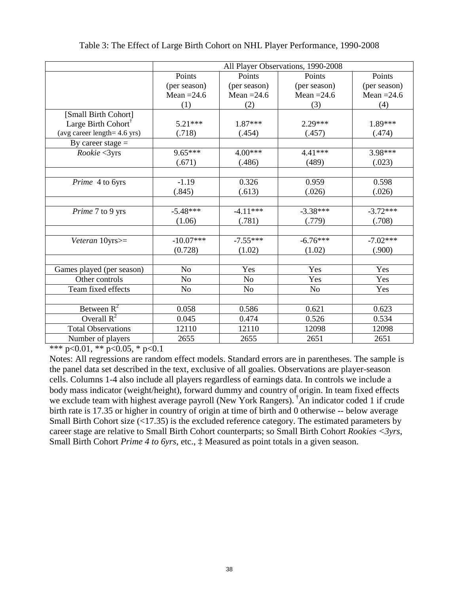|                                    | All Player Observations, 1990-2008 |                |                |               |  |
|------------------------------------|------------------------------------|----------------|----------------|---------------|--|
|                                    | Points                             | Points         | Points         | Points        |  |
|                                    | (per season)                       | (per season)   | (per season)   | (per season)  |  |
|                                    | Mean $=24.6$                       | Mean $=24.6$   | Mean $=24.6$   | Mean $=$ 24.6 |  |
|                                    | (1)                                | (2)            | (3)            | (4)           |  |
| [Small Birth Cohort]               |                                    |                |                |               |  |
| Large Birth Cohort <sup>†</sup>    | $5.21***$                          | $1.87***$      | 2.29***        | 1.89***       |  |
| (avg career length= 4.6 yrs)       | (.718)                             | (.454)         | (.457)         | (.474)        |  |
| By career stage $=$                |                                    |                |                |               |  |
| <i>Rookie</i> <3yrs                | $9.65***$                          | $4.00***$      | 4.41***        | 3.98***       |  |
|                                    | (.671)                             | (.486)         | (489)          | (.023)        |  |
|                                    |                                    |                |                |               |  |
| Prime 4 to 6yrs                    | $-1.19$                            | 0.326          | 0.959          | 0.598         |  |
|                                    | (.845)                             | (.613)         | (.026)         | (.026)        |  |
|                                    |                                    |                |                |               |  |
| Prime 7 to 9 yrs                   | $-5.48***$                         | $-4.11***$     | $-3.38***$     | $-3.72***$    |  |
|                                    | (1.06)                             | (.781)         | (.779)         | (.708)        |  |
|                                    |                                    |                |                |               |  |
| Veteran $10$ yrs $>=$              | $-10.07***$                        | $-7.55***$     | $-6.76***$     | $-7.02***$    |  |
|                                    | (0.728)                            | (1.02)         | (1.02)         | (.900)        |  |
|                                    |                                    |                |                |               |  |
| Games played (per season)          | N <sub>0</sub>                     | Yes            | Yes            | Yes           |  |
| Other controls                     | N <sub>o</sub>                     | N <sub>o</sub> | Yes            | Yes           |  |
| Team fixed effects                 | N <sub>0</sub>                     | N <sub>o</sub> | N <sub>o</sub> | Yes           |  |
|                                    |                                    |                |                |               |  |
| Between $R^2$                      | 0.058                              | 0.586          | 0.621          | 0.623         |  |
| Overall $R^2$                      | 0.045                              | 0.474          | 0.526          | 0.534         |  |
| <b>Total Observations</b>          | 12110                              | 12110          | 12098          | 12098         |  |
| Number of players                  | 2655                               | 2655           | 2651           | 2651          |  |
| $*** n<0.01$ ** $n<0.05$ * $n<0.1$ |                                    |                |                |               |  |

Table 3: The Effect of Large Birth Cohort on NHL Player Performance, 1990-2008

Notes: All regressions are random effect models. Standard errors are in parentheses. The sample is the panel data set described in the text, exclusive of all goalies. Observations are player-season cells. Columns 1-4 also include all players regardless of earnings data. In controls we include a body mass indicator (weight/height), forward dummy and country of origin. In team fixed effects we exclude team with highest average payroll (New York Rangers). † An indicator coded 1 if crude birth rate is 17.35 or higher in country of origin at time of birth and 0 otherwise -- below average Small Birth Cohort size (<17.35) is the excluded reference category. The estimated parameters by career stage are relative to Small Birth Cohort counterparts; so Small Birth Cohort *Rookies <3yrs*, Small Birth Cohort *Prime 4 to 6yrs*, etc., ‡ Measured as point totals in a given season.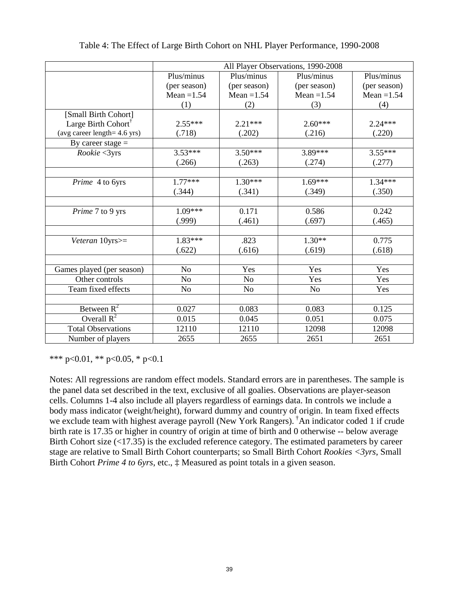|                                 | All Player Observations, 1990-2008 |                |                |               |
|---------------------------------|------------------------------------|----------------|----------------|---------------|
|                                 | Plus/minus                         | Plus/minus     | Plus/minus     | Plus/minus    |
|                                 | (per season)                       | (per season)   | (per season)   | (per season)  |
|                                 | $Mean = 1.54$                      | Mean $=1.54$   | $Mean = 1.54$  | $Mean = 1.54$ |
|                                 | (1)                                | (2)            | (3)            | (4)           |
| [Small Birth Cohort]            |                                    |                |                |               |
| Large Birth Cohort <sup>†</sup> | $2.55***$                          | $2.21***$      | $2.60***$      | $2.24***$     |
| (avg career length= 4.6 yrs)    | (.718)                             | (.202)         | (.216)         | (.220)        |
| By career stage $=$             |                                    |                |                |               |
| Rookie <3yrs                    | $3.53***$                          | $3.50***$      | 3.89***        | $3.55***$     |
|                                 | (.266)                             | (.263)         | (.274)         | (.277)        |
|                                 |                                    |                |                |               |
| Prime 4 to 6yrs                 | $1.77***$                          | $1.30***$      | $1.69***$      | $1.34***$     |
|                                 | (.344)                             | (.341)         | (.349)         | (.350)        |
|                                 |                                    |                |                |               |
| Prime 7 to 9 yrs                | $1.09***$                          | 0.171          | 0.586          | 0.242         |
|                                 | (.999)                             | (.461)         | (.697)         | (.465)        |
|                                 |                                    |                |                |               |
| Veteran $10$ yrs $>=$           | $1.83***$                          | .823           | $1.30**$       | 0.775         |
|                                 | (.622)                             | (.616)         | (.619)         | (.618)        |
|                                 |                                    |                |                |               |
| Games played (per season)       | N <sub>o</sub>                     | Yes            | Yes            | Yes           |
| Other controls                  | N <sub>0</sub>                     | N <sub>o</sub> | Yes            | Yes           |
| Team fixed effects              | N <sub>o</sub>                     | N <sub>o</sub> | N <sub>o</sub> | Yes           |
|                                 |                                    |                |                |               |
| Between $R^2$                   | 0.027                              | 0.083          | 0.083          | 0.125         |
| Overall $R^2$                   | 0.015                              | 0.045          | 0.051          | 0.075         |
| <b>Total Observations</b>       | 12110                              | 12110          | 12098          | 12098         |
| Number of players               | 2655                               | 2655           | 2651           | 2651          |

Table 4: The Effect of Large Birth Cohort on NHL Player Performance, 1990-2008

Notes: All regressions are random effect models. Standard errors are in parentheses. The sample is the panel data set described in the text, exclusive of all goalies. Observations are player-season cells. Columns 1-4 also include all players regardless of earnings data. In controls we include a body mass indicator (weight/height), forward dummy and country of origin. In team fixed effects we exclude team with highest average payroll (New York Rangers). † An indicator coded 1 if crude birth rate is 17.35 or higher in country of origin at time of birth and 0 otherwise -- below average Birth Cohort size (<17.35) is the excluded reference category. The estimated parameters by career stage are relative to Small Birth Cohort counterparts; so Small Birth Cohort *Rookies <3yrs*, Small Birth Cohort *Prime 4 to 6yrs*, etc., ‡ Measured as point totals in a given season.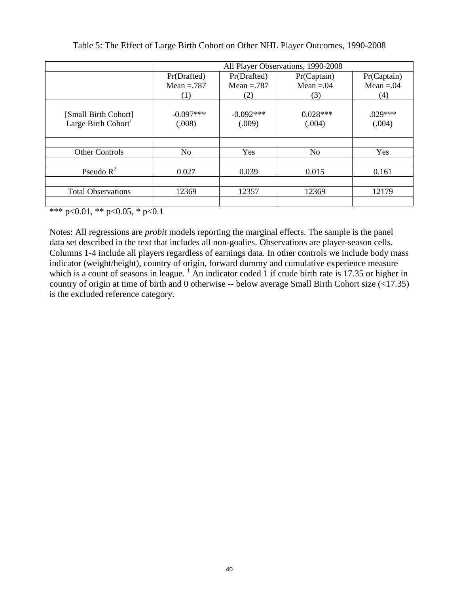|                                                         |                       | All Player Observations, 1990-2008 |                      |                     |  |  |  |
|---------------------------------------------------------|-----------------------|------------------------------------|----------------------|---------------------|--|--|--|
|                                                         | Pr(Drafted)           | Pr(Drafted)                        | Pr(Captain)          | Pr(Captain)         |  |  |  |
|                                                         | Mean $=.787$          | Mean $=.787$                       | $Mean = .04$         | $Mean = .04$        |  |  |  |
|                                                         | (1)                   | (2)                                | (3)                  | (4)                 |  |  |  |
| [Small Birth Cohort]<br>Large Birth Cohort <sup>†</sup> | $-0.097***$<br>(.008) | $-0.092***$<br>(.009)              | $0.028***$<br>(.004) | $.029***$<br>(.004) |  |  |  |
|                                                         |                       |                                    |                      |                     |  |  |  |
| <b>Other Controls</b>                                   | No                    | Yes                                | N <sub>0</sub>       | Yes                 |  |  |  |
|                                                         |                       |                                    |                      |                     |  |  |  |
| Pseudo $R^2$                                            | 0.027                 | 0.039                              | 0.015                | 0.161               |  |  |  |
|                                                         |                       |                                    |                      |                     |  |  |  |
| <b>Total Observations</b>                               | 12369                 | 12357                              | 12369                | 12179               |  |  |  |
|                                                         |                       |                                    |                      |                     |  |  |  |

|  |  | Table 5: The Effect of Large Birth Cohort on Other NHL Player Outcomes, 1990-2008 |  |
|--|--|-----------------------------------------------------------------------------------|--|
|  |  |                                                                                   |  |

Notes: All regressions are *probit* models reporting the marginal effects. The sample is the panel data set described in the text that includes all non-goalies. Observations are player-season cells. Columns 1-4 include all players regardless of earnings data. In other controls we include body mass indicator (weight/height), country of origin, forward dummy and cumulative experience measure which is a count of seasons in league. <sup>†</sup> An indicator coded 1 if crude birth rate is 17.35 or higher in country of origin at time of birth and 0 otherwise -- below average Small Birth Cohort size (<17.35) is the excluded reference category.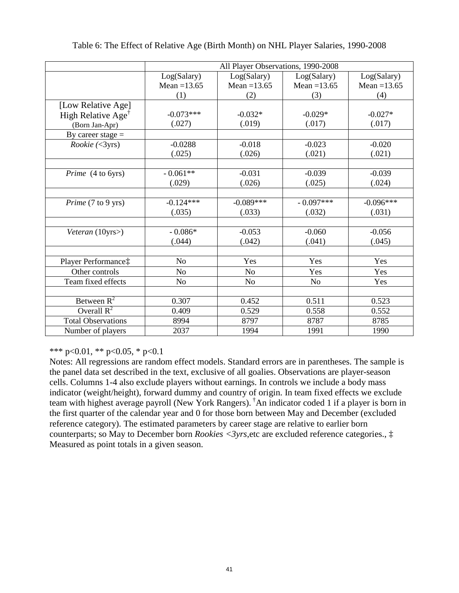|                                              | All Player Observations, 1990-2008 |                |                |                |  |
|----------------------------------------------|------------------------------------|----------------|----------------|----------------|--|
|                                              | Log(Salary)                        | Log(Salary)    | Log(Salary)    | Log(Salary)    |  |
|                                              | Mean = $13.65$                     | Mean = $13.65$ | Mean = $13.65$ | Mean = $13.65$ |  |
|                                              | (1)                                | (2)            | (3)            | (4)            |  |
| [Low Relative Age]                           |                                    |                |                |                |  |
| High Relative Age <sup>†</sup>               | $-0.073***$                        | $-0.032*$      | $-0.029*$      | $-0.027*$      |  |
| (Born Jan-Apr)                               | (.027)                             | (.019)         | (.017)         | (.017)         |  |
| By career stage $=$                          |                                    |                |                |                |  |
| <i>Rookie</i> (<3yrs)                        | $-0.0288$                          | $-0.018$       | $-0.023$       | $-0.020$       |  |
|                                              | (.025)                             | (.026)         | (.021)         | (.021)         |  |
|                                              |                                    |                |                |                |  |
| Prime (4 to 6yrs)                            | $-0.061**$                         | $-0.031$       | $-0.039$       | $-0.039$       |  |
|                                              | (.029)                             | (.026)         | (.025)         | (.024)         |  |
|                                              |                                    |                |                |                |  |
| <i>Prime</i> $(7 \text{ to } 9 \text{ yrs})$ | $-0.124***$                        | $-0.089***$    | $-0.097***$    | $-0.096***$    |  |
|                                              | (.035)                             | (.033)         | (.032)         | (.031)         |  |
|                                              |                                    |                |                |                |  |
| Veteran $(10yrs)$                            | $-0.086*$                          | $-0.053$       | $-0.060$       | $-0.056$       |  |
|                                              | (.044)                             | (.042)         | (.041)         | (.045)         |  |
|                                              |                                    |                |                |                |  |
| Player Performance <sup>†</sup>              | N <sub>o</sub>                     | Yes            | Yes            | Yes            |  |
| Other controls                               | N <sub>o</sub>                     | N <sub>o</sub> | Yes            | Yes            |  |
| Team fixed effects                           | N <sub>o</sub>                     | N <sub>o</sub> | N <sub>o</sub> | Yes            |  |
|                                              |                                    |                |                |                |  |
| Between $R^2$                                | 0.307                              | 0.452          | 0.511          | 0.523          |  |
| Overall $R^2$                                | 0.409                              | 0.529          | 0.558          | 0.552          |  |
| <b>Total Observations</b>                    | 8994                               | 8797           | 8787           | 8785           |  |
| Number of players                            | 2037                               | 1994           | 1991           | 1990           |  |

|  | Table 6: The Effect of Relative Age (Birth Month) on NHL Player Salaries, 1990-2008 |  |
|--|-------------------------------------------------------------------------------------|--|
|  |                                                                                     |  |

Notes: All regressions are random effect models. Standard errors are in parentheses. The sample is the panel data set described in the text, exclusive of all goalies. Observations are player-season cells. Columns 1-4 also exclude players without earnings. In controls we include a body mass indicator (weight/height), forward dummy and country of origin. In team fixed effects we exclude team with highest average payroll (New York Rangers). † An indicator coded 1 if a player is born in the first quarter of the calendar year and 0 for those born between May and December (excluded reference category). The estimated parameters by career stage are relative to earlier born counterparts; so May to December born *Rookies <3yrs*,etc are excluded reference categories., ‡ Measured as point totals in a given season.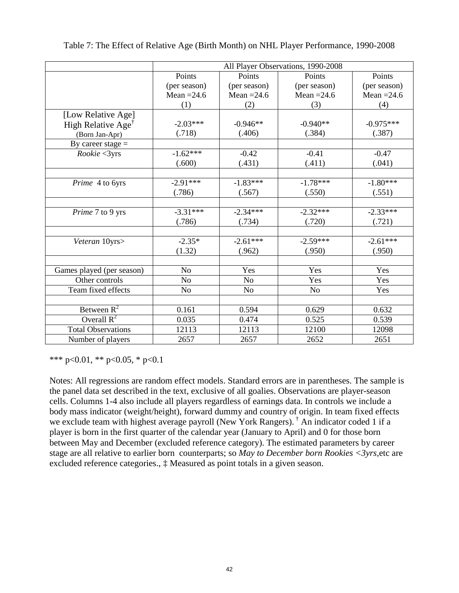|                                | All Player Observations, 1990-2008 |                |                |              |  |
|--------------------------------|------------------------------------|----------------|----------------|--------------|--|
|                                | Points                             | Points         | Points         | Points       |  |
|                                | (per season)                       | (per season)   | (per season)   | (per season) |  |
|                                | Mean $=$ 24.6                      | Mean $=24.6$   | Mean $=$ 24.6  | Mean $=24.6$ |  |
|                                | (1)                                | (2)            | (3)            | (4)          |  |
| [Low Relative Age]             |                                    |                |                |              |  |
| High Relative Age <sup>†</sup> | $-2.03***$                         | $-0.946**$     | $-0.940**$     | $-0.975***$  |  |
| (Born Jan-Apr)                 | (.718)                             | (.406)         | (.384)         | (.387)       |  |
| By career stage $=$            |                                    |                |                |              |  |
| Rookie <3yrs                   | $-1.62***$                         | $-0.42$        | $-0.41$        | $-0.47$      |  |
|                                | (.600)                             | (.431)         | (.411)         | (.041)       |  |
|                                |                                    |                |                |              |  |
| Prime 4 to 6yrs                | $-2.91***$                         | $-1.83***$     | $-1.78***$     | $-1.80***$   |  |
|                                | (.786)                             | (.567)         | (.550)         | (.551)       |  |
|                                |                                    |                |                |              |  |
| Prime 7 to 9 yrs               | $-3.31***$                         | $-2.34***$     | $-2.32***$     | $-2.33***$   |  |
|                                | (.786)                             | (.734)         | (.720)         | (.721)       |  |
|                                |                                    |                |                |              |  |
| Veteran 10yrs>                 | $-2.35*$                           | $-2.61***$     | $-2.59***$     | $-2.61***$   |  |
|                                | (1.32)                             | (.962)         | (.950)         | (.950)       |  |
|                                |                                    |                |                |              |  |
| Games played (per season)      | No                                 | Yes            | Yes            | Yes          |  |
| Other controls                 | N <sub>o</sub>                     | N <sub>o</sub> | Yes            | Yes          |  |
| Team fixed effects             | N <sub>o</sub>                     | N <sub>o</sub> | N <sub>o</sub> | Yes          |  |
|                                |                                    |                |                |              |  |
| Between $R^2$                  | 0.161                              | 0.594          | 0.629          | 0.632        |  |
| Overall $R^2$                  | 0.035                              | 0.474          | 0.525          | 0.539        |  |
| <b>Total Observations</b>      | 12113                              | 12113          | 12100          | 12098        |  |
| Number of players              | 2657                               | 2657           | 2652           | 2651         |  |

Table 7: The Effect of Relative Age (Birth Month) on NHL Player Performance, 1990-2008

\*\*\* p<0.01, \*\* p<0.05, \* p<0.1

Notes: All regressions are random effect models. Standard errors are in parentheses. The sample is the panel data set described in the text, exclusive of all goalies. Observations are player-season cells. Columns 1-4 also include all players regardless of earnings data. In controls we include a body mass indicator (weight/height), forward dummy and country of origin. In team fixed effects we exclude team with highest average payroll (New York Rangers). † An indicator coded 1 if a player is born in the first quarter of the calendar year (January to April) and 0 for those born between May and December (excluded reference category). The estimated parameters by career stage are all relative to earlier born counterparts; so *May to December born Rookies <3yrs*,etc are excluded reference categories., ‡ Measured as point totals in a given season.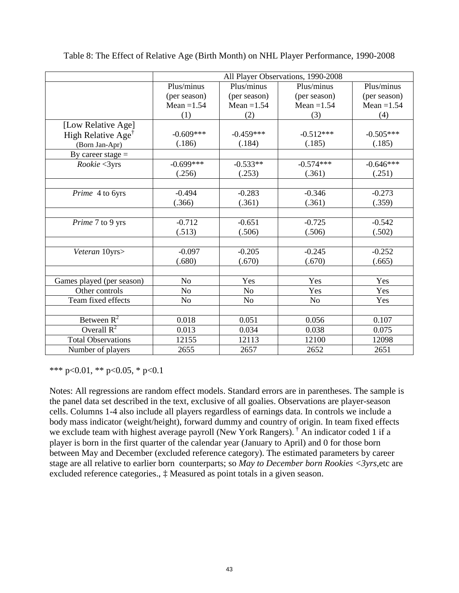|                                | All Player Observations, 1990-2008 |                |                |               |  |
|--------------------------------|------------------------------------|----------------|----------------|---------------|--|
|                                | Plus/minus                         | Plus/minus     | Plus/minus     | Plus/minus    |  |
|                                | (per season)                       | (per season)   | (per season)   | (per season)  |  |
|                                | Mean $=1.54$                       | Mean $=1.54$   | Mean $=1.54$   | $Mean = 1.54$ |  |
|                                | (1)                                | (2)            | (3)            | (4)           |  |
| [Low Relative Age]             |                                    |                |                |               |  |
| High Relative Age <sup>†</sup> | $-0.609***$                        | $-0.459***$    | $-0.512***$    | $-0.505***$   |  |
| (Born Jan-Apr)                 | (.186)                             | (.184)         | (.185)         | (.185)        |  |
| By career stage $=$            |                                    |                |                |               |  |
| Rookie <3yrs                   | $-0.699***$                        | $-0.533**$     | $-0.574***$    | $-0.646***$   |  |
|                                | (.256)                             | (.253)         | (.361)         | (.251)        |  |
|                                |                                    |                |                |               |  |
| Prime 4 to 6yrs                | $-0.494$                           | $-0.283$       | $-0.346$       | $-0.273$      |  |
|                                | (.366)                             | (.361)         | (.361)         | (.359)        |  |
|                                |                                    |                |                |               |  |
| Prime 7 to 9 yrs               | $-0.712$                           | $-0.651$       | $-0.725$       | $-0.542$      |  |
|                                | (.513)                             | (.506)         | (.506)         | (.502)        |  |
|                                |                                    |                |                |               |  |
| Veteran 10yrs>                 | $-0.097$                           | $-0.205$       | $-0.245$       | $-0.252$      |  |
|                                | (.680)                             | (.670)         | (.670)         | (.665)        |  |
|                                |                                    |                |                |               |  |
| Games played (per season)      | N <sub>o</sub>                     | Yes            | Yes            | Yes           |  |
| Other controls                 | N <sub>o</sub>                     | No             | Yes            | Yes           |  |
| Team fixed effects             | No                                 | N <sub>o</sub> | N <sub>o</sub> | Yes           |  |
|                                |                                    |                |                |               |  |
| Between $R^2$                  | 0.018                              | 0.051          | 0.056          | 0.107         |  |
| Overall $R^2$                  | 0.013                              | 0.034          | 0.038          | 0.075         |  |
| <b>Total Observations</b>      | 12155                              | 12113          | 12100          | 12098         |  |
| Number of players              | 2655                               | 2657           | 2652           | 2651          |  |

Table 8: The Effect of Relative Age (Birth Month) on NHL Player Performance, 1990-2008

Notes: All regressions are random effect models. Standard errors are in parentheses. The sample is the panel data set described in the text, exclusive of all goalies. Observations are player-season cells. Columns 1-4 also include all players regardless of earnings data. In controls we include a body mass indicator (weight/height), forward dummy and country of origin. In team fixed effects we exclude team with highest average payroll (New York Rangers). † An indicator coded 1 if a player is born in the first quarter of the calendar year (January to April) and 0 for those born between May and December (excluded reference category). The estimated parameters by career stage are all relative to earlier born counterparts; so *May to December born Rookies <3yrs*,etc are excluded reference categories., ‡ Measured as point totals in a given season.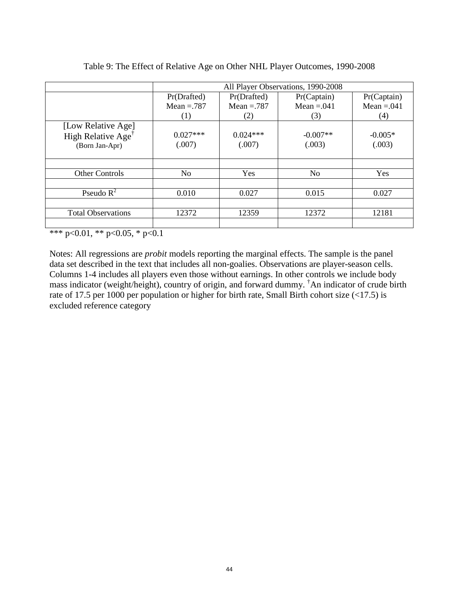|                                | All Player Observations, 1990-2008 |              |                |               |  |
|--------------------------------|------------------------------------|--------------|----------------|---------------|--|
|                                | Pr(Drafted)                        | Pr(Drafted)  | Pr(Captain)    | Pr(Captain)   |  |
|                                | Mean $=.787$                       | Mean $=.787$ | $Mean = .041$  | $Mean = .041$ |  |
|                                | (1)                                | (2)          | (3)            | (4)           |  |
| [Low Relative Age]             |                                    |              |                |               |  |
| High Relative Age <sup>†</sup> | $0.027***$                         | $0.024***$   | $-0.007**$     | $-0.005*$     |  |
| (Born Jan-Apr)                 | (.007)                             | (.007)       | (.003)         | (.003)        |  |
|                                |                                    |              |                |               |  |
|                                |                                    |              |                |               |  |
| <b>Other Controls</b>          | N <sub>o</sub>                     | Yes          | N <sub>0</sub> | Yes           |  |
|                                |                                    |              |                |               |  |
| Pseudo $R^2$                   | 0.010                              | 0.027        | 0.015          | 0.027         |  |
|                                |                                    |              |                |               |  |
| <b>Total Observations</b>      | 12372                              | 12359        | 12372          | 12181         |  |
|                                |                                    |              |                |               |  |

| Table 9: The Effect of Relative Age on Other NHL Player Outcomes, 1990-2008 |  |  |
|-----------------------------------------------------------------------------|--|--|
|-----------------------------------------------------------------------------|--|--|

Notes: All regressions are *probit* models reporting the marginal effects. The sample is the panel data set described in the text that includes all non-goalies. Observations are player-season cells. Columns 1-4 includes all players even those without earnings. In other controls we include body mass indicator (weight/height), country of origin, and forward dummy. † An indicator of crude birth rate of 17.5 per 1000 per population or higher for birth rate, Small Birth cohort size (<17.5) is excluded reference category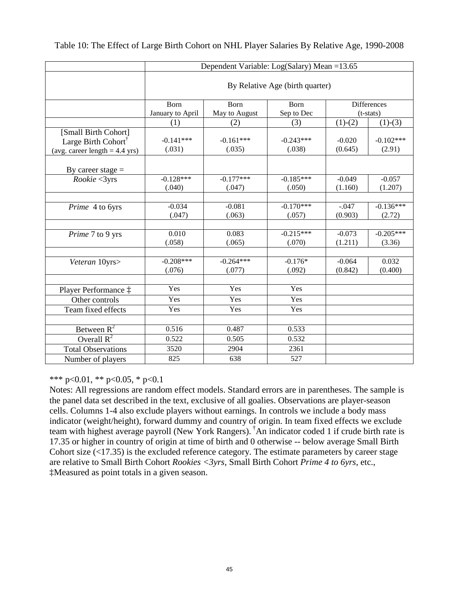|                                  | Dependent Variable: Log(Salary) Mean = 13.65                              |             |             |           |             |  |  |  |  |  |  |
|----------------------------------|---------------------------------------------------------------------------|-------------|-------------|-----------|-------------|--|--|--|--|--|--|
|                                  | By Relative Age (birth quarter)                                           |             |             |           |             |  |  |  |  |  |  |
|                                  | Born<br>Born<br><b>Differences</b><br>Born<br>May to August<br>Sep to Dec |             |             |           |             |  |  |  |  |  |  |
|                                  | January to April                                                          |             | $(t-stats)$ |           |             |  |  |  |  |  |  |
|                                  | (1)                                                                       | (2)         | (3)         | $(1)-(2)$ | $(1)-(3)$   |  |  |  |  |  |  |
| [Small Birth Cohort]             |                                                                           |             |             |           |             |  |  |  |  |  |  |
| Large Birth Cohort <sup>†</sup>  | $-0.141***$                                                               | $-0.161***$ | $-0.243***$ | $-0.020$  | $-0.102***$ |  |  |  |  |  |  |
| (avg. career length $= 4.4$ yrs) | (.031)                                                                    | (.035)      | (.038)      | (0.645)   | (2.91)      |  |  |  |  |  |  |
| By career stage $=$              |                                                                           |             |             |           |             |  |  |  |  |  |  |
| <i>Rookie</i> <3yrs              | $-0.128***$                                                               | $-0.177***$ | $-0.185***$ | $-0.049$  | $-0.057$    |  |  |  |  |  |  |
|                                  | (.040)                                                                    | (.047)      | (.050)      | (1.160)   | (1.207)     |  |  |  |  |  |  |
|                                  |                                                                           |             |             |           |             |  |  |  |  |  |  |
| Prime 4 to 6yrs                  | $-0.034$                                                                  | $-0.081$    | $-0.170***$ | $-.047$   | $-0.136***$ |  |  |  |  |  |  |
|                                  | (.047)                                                                    | (.063)      | (.057)      | (0.903)   | (2.72)      |  |  |  |  |  |  |
|                                  |                                                                           |             |             |           |             |  |  |  |  |  |  |
| Prime 7 to 9 yrs                 | 0.010                                                                     | 0.083       | $-0.215***$ | $-0.073$  | $-0.205***$ |  |  |  |  |  |  |
|                                  | (.058)                                                                    | (.065)      | (.070)      | (1.211)   | (3.36)      |  |  |  |  |  |  |
| Veteran 10yrs>                   | $-0.208***$                                                               | $-0.264***$ | $-0.176*$   | $-0.064$  | 0.032       |  |  |  |  |  |  |
|                                  | (.076)                                                                    | (.077)      | (.092)      | (0.842)   | (0.400)     |  |  |  |  |  |  |
|                                  |                                                                           |             |             |           |             |  |  |  |  |  |  |
| Player Performance $\ddagger$    | Yes                                                                       | Yes         | Yes         |           |             |  |  |  |  |  |  |
| Other controls                   | Yes                                                                       | Yes         | Yes         |           |             |  |  |  |  |  |  |
| Team fixed effects               | Yes                                                                       | Yes         | Yes         |           |             |  |  |  |  |  |  |
|                                  |                                                                           |             |             |           |             |  |  |  |  |  |  |
| Between $R^2$                    | 0.516                                                                     | 0.487       | 0.533       |           |             |  |  |  |  |  |  |
| Overall $R^2$                    | 0.522                                                                     | 0.505       | 0.532       |           |             |  |  |  |  |  |  |
| <b>Total Observations</b>        | 3520                                                                      | 2904        | 2361        |           |             |  |  |  |  |  |  |
| Number of players                | 825                                                                       | 638         | 527         |           |             |  |  |  |  |  |  |

Table 10: The Effect of Large Birth Cohort on NHL Player Salaries By Relative Age, 1990-2008

\*\*\* p<0.01, \*\* p<0.05, \* p<0.1

Notes: All regressions are random effect models. Standard errors are in parentheses. The sample is the panel data set described in the text, exclusive of all goalies. Observations are player-season cells. Columns 1-4 also exclude players without earnings. In controls we include a body mass indicator (weight/height), forward dummy and country of origin. In team fixed effects we exclude team with highest average payroll (New York Rangers). † An indicator coded 1 if crude birth rate is 17.35 or higher in country of origin at time of birth and 0 otherwise -- below average Small Birth Cohort size (<17.35) is the excluded reference category. The estimate parameters by career stage are relative to Small Birth Cohort *Rookies <3yrs*, Small Birth Cohort *Prime 4 to 6yrs*, etc., ‡Measured as point totals in a given season.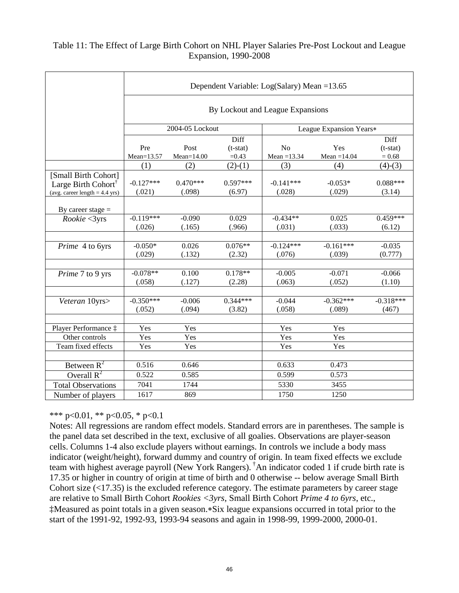| Table 11: The Effect of Large Birth Cohort on NHL Player Salaries Pre-Post Lockout and League |
|-----------------------------------------------------------------------------------------------|
| Expansion, 1990-2008                                                                          |

|                                                                                             | Dependent Variable: Log(Salary) Mean = 13.65 |                      |                      |                         |                     |                      |  |  |  |  |
|---------------------------------------------------------------------------------------------|----------------------------------------------|----------------------|----------------------|-------------------------|---------------------|----------------------|--|--|--|--|
|                                                                                             | By Lockout and League Expansions             |                      |                      |                         |                     |                      |  |  |  |  |
|                                                                                             |                                              | 2004-05 Lockout      |                      | League Expansion Years* |                     |                      |  |  |  |  |
|                                                                                             |                                              |                      | Diff                 |                         |                     | Diff                 |  |  |  |  |
|                                                                                             | Pre                                          | Post                 | $(t-stat)$           | N <sub>o</sub>          | Yes                 | $(t-stat)$           |  |  |  |  |
|                                                                                             | $Mean=13.57$                                 | $Mean=14.00$         | $=0.43$              | $Mean = 13.34$          | $Mean = 14.04$      | $= 0.68$             |  |  |  |  |
|                                                                                             | (1)                                          | (2)                  | $(2)-(1)$            | (3)                     | (4)                 | $(4)-(3)$            |  |  |  |  |
| [Small Birth Cohort]<br>Large Birth Cohort <sup>†</sup><br>(avg. career length $= 4.4$ yrs) | $-0.127***$<br>(.021)                        | $0.470***$<br>(.098) | $0.597***$<br>(6.97) | $-0.141***$<br>(.028)   | $-0.053*$<br>(.029) | $0.088***$<br>(3.14) |  |  |  |  |
|                                                                                             |                                              |                      |                      |                         |                     |                      |  |  |  |  |
| By career stage $=$                                                                         |                                              |                      |                      |                         |                     |                      |  |  |  |  |
| Rookie < 3yrs                                                                               | $-0.119***$                                  | $-0.090$             | 0.029                | $-0.434**$              | 0.025               | $0.459***$           |  |  |  |  |
|                                                                                             | (.026)                                       | (.165)               | (.966)               | (.031)                  | (.033)              | (6.12)               |  |  |  |  |
|                                                                                             |                                              |                      |                      |                         |                     |                      |  |  |  |  |
| Prime 4 to 6yrs                                                                             | $-0.050*$                                    | 0.026                | $0.076**$            | $-0.124***$             | $-0.161***$         | $-0.035$             |  |  |  |  |
|                                                                                             | (.029)                                       | (.132)               | (2.32)               | (.076)                  | (.039)              | (0.777)              |  |  |  |  |
|                                                                                             |                                              |                      |                      |                         |                     |                      |  |  |  |  |
| Prime 7 to 9 yrs                                                                            | $-0.078**$                                   | 0.100                | $0.178**$            | $-0.005$                | $-0.071$            | $-0.066$             |  |  |  |  |
|                                                                                             | (.058)                                       | (.127)               | (2.28)               | (.063)                  | (.052)              | (1.10)               |  |  |  |  |
|                                                                                             |                                              |                      |                      |                         |                     |                      |  |  |  |  |
| Veteran 10yrs>                                                                              | $-0.350***$                                  | $-0.006$             | $0.344***$           | $-0.044$                | $-0.362***$         | $-0.318***$          |  |  |  |  |
|                                                                                             | (.052)                                       | (.094)               | (3.82)               | (.058)                  | (.089)              | (467)                |  |  |  |  |
| Player Performance $\ddagger$                                                               | Yes                                          | Yes                  |                      | Yes                     | Yes                 |                      |  |  |  |  |
| Other controls                                                                              | Yes                                          | Yes                  |                      | Yes                     | Yes                 |                      |  |  |  |  |
| Team fixed effects                                                                          | Yes                                          | Yes                  |                      | Yes                     | Yes                 |                      |  |  |  |  |
|                                                                                             |                                              |                      |                      |                         |                     |                      |  |  |  |  |
| Between $R^2$                                                                               | 0.516                                        | 0.646                |                      | 0.633                   | 0.473               |                      |  |  |  |  |
| Overall $R^2$                                                                               | 0.522                                        | 0.585                |                      | 0.599                   | 0.573               |                      |  |  |  |  |
| <b>Total Observations</b>                                                                   | 7041                                         | 1744                 |                      | 5330                    | 3455                |                      |  |  |  |  |
| Number of players                                                                           | 1617                                         | 869                  |                      | 1750                    | 1250                |                      |  |  |  |  |

Notes: All regressions are random effect models. Standard errors are in parentheses. The sample is the panel data set described in the text, exclusive of all goalies. Observations are player-season cells. Columns 1-4 also exclude players without earnings. In controls we include a body mass indicator (weight/height), forward dummy and country of origin. In team fixed effects we exclude team with highest average payroll (New York Rangers). † An indicator coded 1 if crude birth rate is 17.35 or higher in country of origin at time of birth and 0 otherwise -- below average Small Birth Cohort size (<17.35) is the excluded reference category. The estimate parameters by career stage are relative to Small Birth Cohort *Rookies <3yrs*, Small Birth Cohort *Prime 4 to 6yrs*, etc., ‡Measured as point totals in a given season.∗Six league expansions occurred in total prior to the start of the 1991-92, 1992-93, 1993-94 seasons and again in 1998-99, 1999-2000, 2000-01.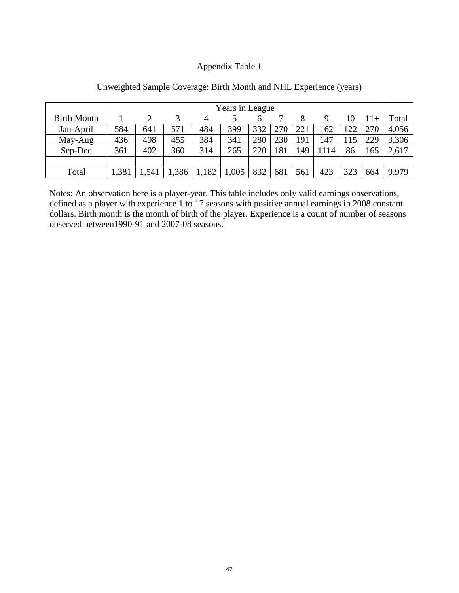#### Appendix Table 1

|                    | Years in League |      |      |       |      |     |     |     |      |     |       |       |
|--------------------|-----------------|------|------|-------|------|-----|-----|-----|------|-----|-------|-------|
| <b>Birth Month</b> |                 |      |      |       |      | n   |     |     |      | 10  | $11+$ | Total |
| Jan-April          | 584             | 641  | 571  | 484   | 399  | 332 | 270 | 221 | 162  | 122 | 270   | 4,056 |
| May-Aug            | 436             | 498  | 455  | 384   | 341  | 280 | 230 | 191 | 147  |     | 229   | 3,306 |
| Sep-Dec            | 361             | 402  | 360  | 314   | 265  | 220 | 181 | 149 | 1114 | 86  | 165   | 2,617 |
|                    |                 |      |      |       |      |     |     |     |      |     |       |       |
| Total              | 1,381           | .541 | ,386 | 1,182 | ,005 | 832 | 681 | 561 | 423  | 323 | 664   | 9.979 |

Unweighted Sample Coverage: Birth Month and NHL Experience (years)

Notes: An observation here is a player-year. This table includes only valid earnings observations, defined as a player with experience 1 to 17 seasons with positive annual earnings in 2008 constant dollars. Birth month is the month of birth of the player. Experience is a count of number of seasons observed between1990-91 and 2007-08 seasons.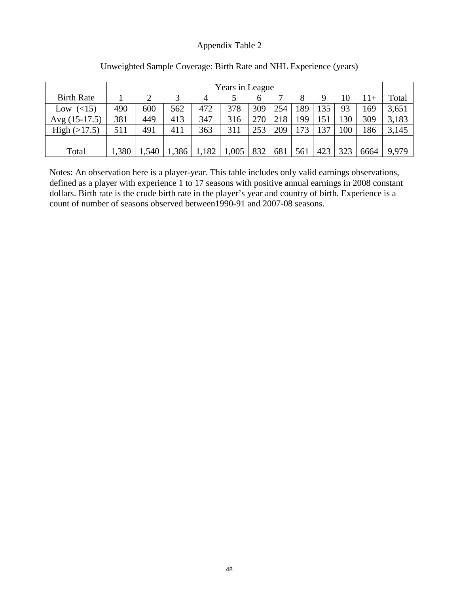#### Appendix Table 2

|                   | Years in League |      |      |     |      |     |     |     |     |     |       |       |
|-------------------|-----------------|------|------|-----|------|-----|-----|-----|-----|-----|-------|-------|
| <b>Birth Rate</b> |                 |      |      | 4   |      |     |     | 8   | 9   |     | $11+$ | Total |
| (<15)<br>LOW      | 490             | 600  | 562  | 472 | 378  | 309 | 254 | 189 | 135 | 93  | 169   | 3,651 |
| Avg $(15-17.5)$   | 381             | 449  | 413  | 347 | 316  | 270 | 218 | 199 | 151 | 130 | 309   | 3,183 |
| High $(>17.5)$    | 511             | 491  | 411  | 363 | 311  | 253 | 209 | 173 | 137 | 100 | 186   | 3,145 |
|                   |                 |      |      |     |      |     |     |     |     |     |       |       |
| Total             | 1,380           | .540 | .386 | 182 | ,005 | 832 | 681 | 561 | 423 | 323 | 6664  | 9,979 |

#### Unweighted Sample Coverage: Birth Rate and NHL Experience (years)

Notes: An observation here is a player-year. This table includes only valid earnings observations, defined as a player with experience 1 to 17 seasons with positive annual earnings in 2008 constant dollars. Birth rate is the crude birth rate in the player's year and country of birth. Experience is a count of number of seasons observed between1990-91 and 2007-08 seasons.